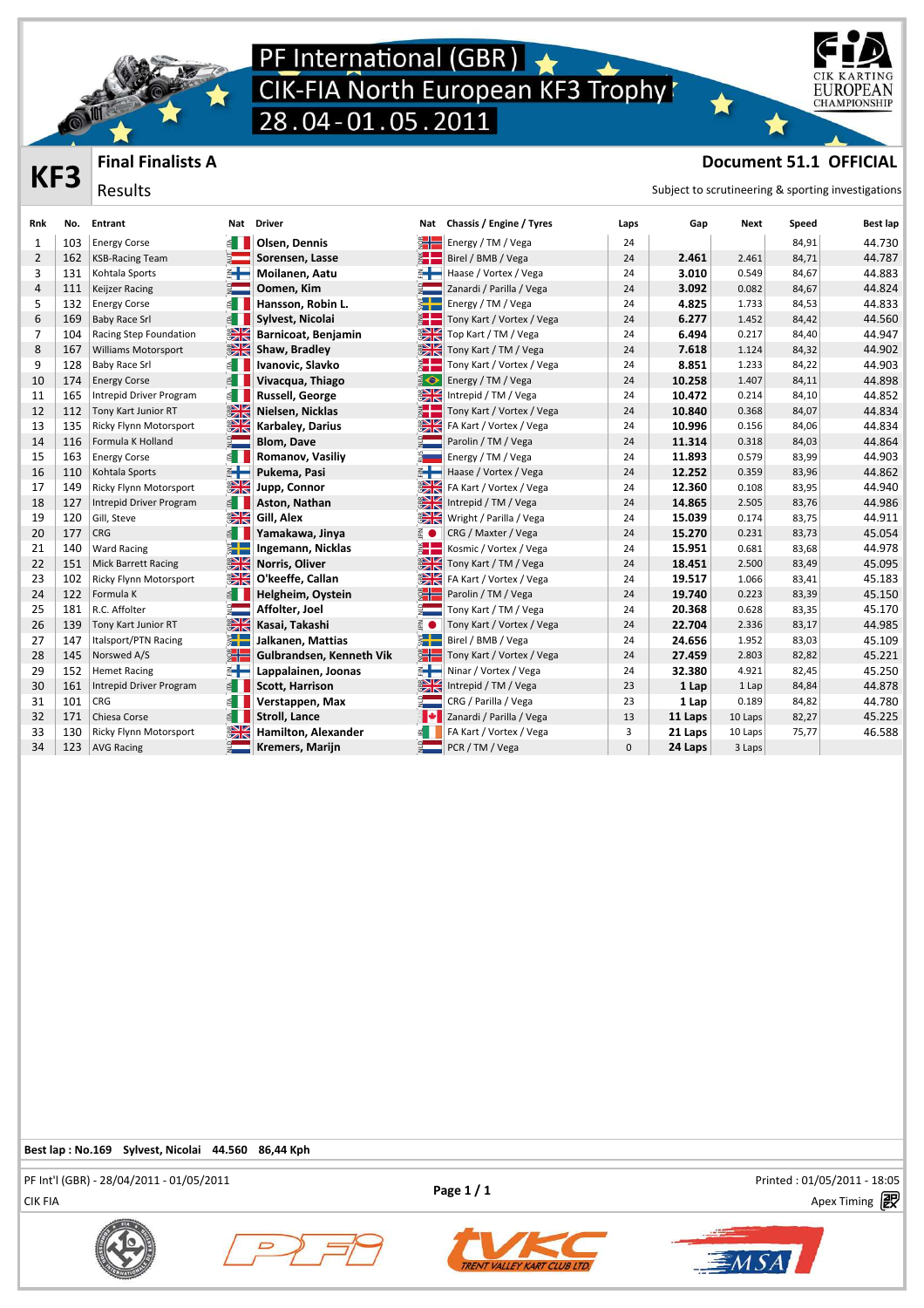

**Final Finalists A**

Results

### PF International (GBR)<br>CIK-FIA North European KF3 Trophy<br>28.04-01.05.2011



### **THES** Final Finalists A **CHO**<br> **Results** Results **Results Results Results Results Results Results Results Results Results Results Results Results Results Results Results Results Results R**

| Rnk            | No. | Entrant                       | Nat                   | <b>Driver</b>            | Nat                         | Chassis / Engine / Tyres  | Laps         | Gap     | Next    | Speed | Best lap |
|----------------|-----|-------------------------------|-----------------------|--------------------------|-----------------------------|---------------------------|--------------|---------|---------|-------|----------|
| 1              | 103 | <b>Energy Corse</b>           |                       | Olsen. Dennis            | § ⊹                         | Energy / TM / Vega        | 24           |         |         | 84,91 | 44.730   |
| $\overline{2}$ | 162 | <b>KSB-Racing Team</b>        |                       | Sorensen, Lasse          | 計                           | Birel / BMB / Vega        | 24           | 2.461   | 2.461   | 84,71 | 44.787   |
| 3              | 131 | Kohtala Sports                |                       | Moilanen, Aatu           | ⋹┡                          | Haase / Vortex / Vega     | 24           | 3.010   | 0.549   | 84,67 | 44.883   |
| $\overline{4}$ | 111 | Keijzer Racing                |                       | Oomen, Kim               |                             | Zanardi / Parilla / Vega  | 24           | 3.092   | 0.082   | 84,67 | 44.824   |
| 5              | 132 | <b>Energy Corse</b>           |                       | Hansson, Robin L.        | ž٣                          | Energy / TM / Vega        | 24           | 4.825   | 1.733   | 84,53 | 44.833   |
| 6              | 169 | <b>Baby Race Srl</b>          | $\leq$                | Sylvest, Nicolai         | ž H                         | Tony Kart / Vortex / Vega | 24           | 6.277   | 1.452   | 84,42 | 44.560   |
| $\overline{7}$ | 104 | Racing Step Foundation        | $\frac{N}{N}$         | Barnicoat, Benjamin      | <b>SK</b>                   | Top Kart / TM / Vega      | 24           | 6.494   | 0.217   | 84,40 | 44.947   |
| 8              | 167 | <b>Williams Motorsport</b>    | $\frac{1}{\sqrt{2}}$  | Shaw, Bradley            | <b>SHE</b>                  | Tony Kart / TM / Vega     | 24           | 7.618   | 1.124   | 84,32 | 44.902   |
| 9              | 128 | <b>Baby Race Srl</b>          | ⋹∎                    | Ivanovic, Slavko         | ž.                          | Tony Kart / Vortex / Vega | 24           | 8.851   | 1.233   | 84,22 | 44.903   |
| 10             | 174 | <b>Energy Corse</b>           | E.                    | Vivacqua, Thiago         | $\frac{d}{dt}$              | Energy / TM / Vega        | 24           | 10.258  | 1.407   | 84,11 | 44.898   |
| 11             | 165 | Intrepid Driver Program       | 1≦                    | Russell, George          | $\frac{N}{N}$               | Intrepid / TM / Vega      | 24           | 10.472  | 0.214   | 84,10 | 44.852   |
| 12             | 112 | Tony Kart Junior RT           | 深                     | Nielsen, Nicklas         | ž L                         | Tony Kart / Vortex / Vega | 24           | 10.840  | 0.368   | 84,07 | 44.834   |
| 13             | 135 | Ricky Flynn Motorsport        | $rac{N}{N}$           | <b>Karbaley, Darius</b>  | $\frac{1}{2}$               | FA Kart / Vortex / Vega   | 24           | 10.996  | 0.156   | 84,06 | 44.834   |
| 14             | 116 | Formula K Holland             |                       | <b>Blom, Dave</b>        | $\frac{1}{2}$               | Parolin / TM / Vega       | 24           | 11.314  | 0.318   | 84,03 | 44.864   |
| 15             | 163 | <b>Energy Corse</b>           | ≝∎                    | Romanov, Vasiliy         |                             | Energy / TM / Vega        | 24           | 11.893  | 0.579   | 83,99 | 44.903   |
| 16             | 110 | Kohtala Sports                | ⋹∔                    | Pukema, Pasi             | 斗                           | Haase / Vortex / Vega     | 24           | 12.252  | 0.359   | 83,96 | 44.862   |
| 17             | 149 | <b>Ricky Flynn Motorsport</b> | $rac{N}{N}$           | Jupp, Connor             | <b>SK</b>                   | FA Kart / Vortex / Vega   | 24           | 12.360  | 0.108   | 83,95 | 44.940   |
| 18             | 127 | Intrepid Driver Program       | $\leq$ $\blacksquare$ | Aston, Nathan            | <b>ENK</b>                  | Intrepid / TM / Vega      | 24           | 14.865  | 2.505   | 83,76 | 44.986   |
| 19             | 120 | Gill, Steve                   | $\frac{1}{\sqrt{2}}$  | Gill, Alex               | $\frac{N}{N}$               | Wright / Parilla / Vega   | 24           | 15.039  | 0.174   | 83,75 | 44.911   |
| 20             | 177 | CRG                           | ≝∎                    | Yamakawa, Jinya          | E O                         | CRG / Maxter / Vega       | 24           | 15.270  | 0.231   | 83,73 | 45.054   |
| 21             | 140 | <b>Ward Racing</b>            | ▓█                    | Ingemann, Nicklas        | ž.                          | Kosmic / Vortex / Vega    | 24           | 15.951  | 0.681   | 83,68 | 44.978   |
| 22             | 151 | <b>Mick Barrett Racing</b>    | $\frac{1}{\sqrt{2}}$  | Norris, Oliver           | <b>SK</b>                   | Tony Kart / TM / Vega     | 24           | 18.451  | 2.500   | 83,49 | 45.095   |
| 23             | 102 | Ricky Flynn Motorsport        | $\frac{1}{\sqrt{2}}$  | O'keeffe, Callan         | $\frac{1}{\sqrt{2}}$        | FA Kart / Vortex / Vega   | 24           | 19.517  | 1.066   | 83,41 | 45.183   |
| 24             | 122 | Formula K                     | ≝∎                    | Helgheim, Oystein        | ğH                          | Parolin / TM / Vega       | 24           | 19.740  | 0.223   | 83,39 | 45.150   |
| 25             | 181 | R.C. Affolter                 |                       | Affolter, Joel           |                             | Tony Kart / TM / Vega     | 24           | 20.368  | 0.628   | 83,35 | 45.170   |
| 26             | 139 | Tony Kart Junior RT           | $\frac{1}{\sqrt{2}}$  | Kasai, Takashi           | E O                         | Tony Kart / Vortex / Vega | 24           | 22.704  | 2.336   | 83,17 | 44.985   |
| 27             | 147 | Italsport/PTN Racing          | ▓▜                    | Jalkanen, Mattias        | $\ddot{\tilde{}}$           | Birel / BMB / Vega        | 24           | 24.656  | 1.952   | 83,03 | 45.109   |
| 28             | 145 | Norswed A/S                   | žH                    | Gulbrandsen, Kenneth Vik | $\frac{3}{2}$ $\frac{1}{2}$ | Tony Kart / Vortex / Vega | 24           | 27.459  | 2.803   | 82,82 | 45.221   |
| 29             | 152 | <b>Hemet Racing</b>           | €╋                    | Lappalainen, Joonas      | ⋹┡                          | Ninar / Vortex / Vega     | 24           | 32.380  | 4.921   | 82,45 | 45.250   |
| 30             | 161 | Intrepid Driver Program       | 图                     | <b>Scott, Harrison</b>   | <b>ENK</b>                  | Intrepid / TM / Vega      | 23           | 1 Lap   | 1 Lap   | 84,84 | 44.878   |
| 31             | 101 | <b>CRG</b>                    | ≝∎                    | Verstappen, Max          |                             | CRG / Parilla / Vega      | 23           | 1 Lap   | 0.189   | 84,82 | 44.780   |
| 32             | 171 | Chiesa Corse                  | €                     | <b>Stroll, Lance</b>     | ∙                           | Zanardi / Parilla / Vega  | 13           | 11 Laps | 10 Laps | 82,27 | 45.225   |
| 33             | 130 | Ricky Flynn Motorsport        | $\frac{N}{N}$         | Hamilton, Alexander      |                             | FA Kart / Vortex / Vega   | 3            | 21 Laps | 10 Laps | 75,77 | 46.588   |
| 34             | 123 | <b>AVG Racing</b>             |                       | Kremers, Marijn          |                             | PCR / TM / Vega           | $\mathbf{0}$ | 24 Laps | 3 Laps  |       |          |

#### **Best lap : No.169 Sylvest, Nicolai 44.560 86,44 Kph**

CIK FIA Apex Timing PF Int'l (GBR) - 28/04/2011 - 01/05/2011 Printed : 01/05/2011 - 18:05









 $\overline{\varepsilon}$ M $\overline{SA}$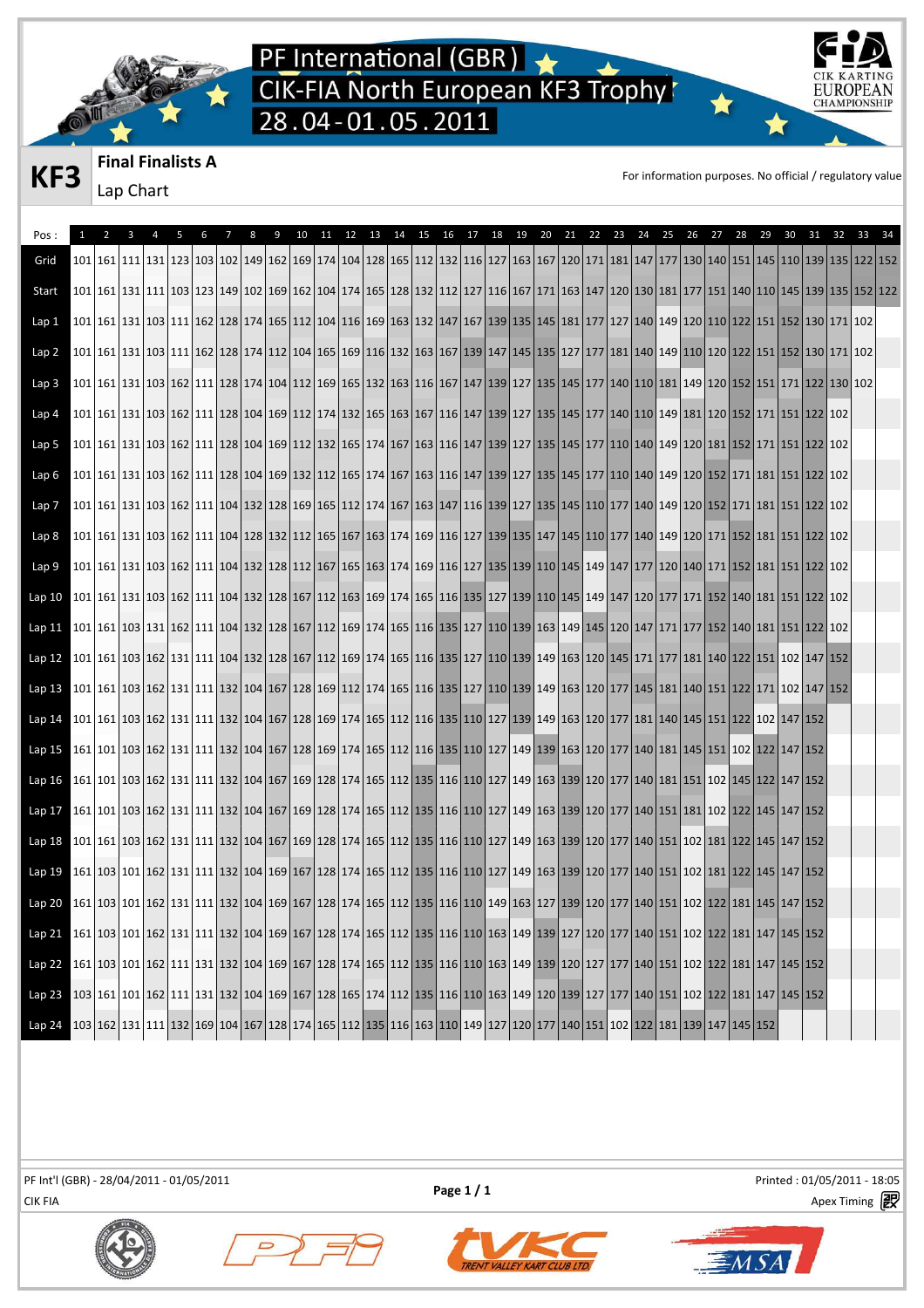



**KF3** Final Finalists A For information purposes. No official / regulatory value

| Pos:                                                                                                                                                                                                               |                                                                                                                                                                                         |  | 6 | 8 | 9 | 10 |  |  | 11 12 13 14 15 16 17 |  |  | 18  19  20  21  22 |  | 23 | 24 | 25 | 26 | 27 | 28 | 29 |  | 30 31 32 33 34 |  |
|--------------------------------------------------------------------------------------------------------------------------------------------------------------------------------------------------------------------|-----------------------------------------------------------------------------------------------------------------------------------------------------------------------------------------|--|---|---|---|----|--|--|----------------------|--|--|--------------------|--|----|----|----|----|----|----|----|--|----------------|--|
| Grid                                                                                                                                                                                                               | 102 122 123 129 129 129 120 12149 122 123 124 129 129 129 129 120 121 122 123 124 129 122 123 124 127 128 127 128 129 127 128 129 129 129 129 122 122 123                               |  |   |   |   |    |  |  |                      |  |  |                    |  |    |    |    |    |    |    |    |  |                |  |
| Start                                                                                                                                                                                                              | 102   123   123   123   124   129   129   129   129   129   129   129   129   129   129   129   127   129   127   129   129   129   139   139   139   135   152   122                   |  |   |   |   |    |  |  |                      |  |  |                    |  |    |    |    |    |    |    |    |  |                |  |
| Lap 1                                                                                                                                                                                                              |                                                                                                                                                                                         |  |   |   |   |    |  |  |                      |  |  |                    |  |    |    |    |    |    |    |    |  |                |  |
| Lap <sub>2</sub>                                                                                                                                                                                                   |                                                                                                                                                                                         |  |   |   |   |    |  |  |                      |  |  |                    |  |    |    |    |    |    |    |    |  |                |  |
| Lap <sub>3</sub>                                                                                                                                                                                                   |                                                                                                                                                                                         |  |   |   |   |    |  |  |                      |  |  |                    |  |    |    |    |    |    |    |    |  |                |  |
| Lap 4                                                                                                                                                                                                              |                                                                                                                                                                                         |  |   |   |   |    |  |  |                      |  |  |                    |  |    |    |    |    |    |    |    |  |                |  |
| Lap 5                                                                                                                                                                                                              | 102 102 121 122 124 125 126 127 128 129 129 120 121 122 123 124 125 127 128 129 127 129 127 129 127 129 127 120 120 120 120 121 122 121 122 122                                         |  |   |   |   |    |  |  |                      |  |  |                    |  |    |    |    |    |    |    |    |  |                |  |
| Lap 6                                                                                                                                                                                                              |                                                                                                                                                                                         |  |   |   |   |    |  |  |                      |  |  |                    |  |    |    |    |    |    |    |    |  |                |  |
| Lap 7                                                                                                                                                                                                              |                                                                                                                                                                                         |  |   |   |   |    |  |  |                      |  |  |                    |  |    |    |    |    |    |    |    |  |                |  |
| Lap 8                                                                                                                                                                                                              |                                                                                                                                                                                         |  |   |   |   |    |  |  |                      |  |  |                    |  |    |    |    |    |    |    |    |  |                |  |
| Lap 9                                                                                                                                                                                                              |                                                                                                                                                                                         |  |   |   |   |    |  |  |                      |  |  |                    |  |    |    |    |    |    |    |    |  |                |  |
| Lap 10                                                                                                                                                                                                             | 101   103   103   103   103   104   122   128   167   112   163   169   174   165   116   135   127   139   110   145   149   147   120   177   171   152   140   181   151   122   102 |  |   |   |   |    |  |  |                      |  |  |                    |  |    |    |    |    |    |    |    |  |                |  |
| $Lap$ 11                                                                                                                                                                                                           |                                                                                                                                                                                         |  |   |   |   |    |  |  |                      |  |  |                    |  |    |    |    |    |    |    |    |  |                |  |
| Lap 12 101 161 103 162 131 111 104 132 128 167 112 169 174 165 116 135 127 110 139 149 163 120 145 171 17 17 181 140 122 151 102 147 152                                                                           |                                                                                                                                                                                         |  |   |   |   |    |  |  |                      |  |  |                    |  |    |    |    |    |    |    |    |  |                |  |
| Lap 13   101   161   103   162   131   111   132   104   167   128   169   112   174   165   116   135   127   110   139   149   163   120   177   145   181   140   151   122   171   102   171   102   147   152 |                                                                                                                                                                                         |  |   |   |   |    |  |  |                      |  |  |                    |  |    |    |    |    |    |    |    |  |                |  |
| Lap 14                                                                                                                                                                                                             |                                                                                                                                                                                         |  |   |   |   |    |  |  |                      |  |  |                    |  |    |    |    |    |    |    |    |  |                |  |
| Lap <sub>15</sub>                                                                                                                                                                                                  |                                                                                                                                                                                         |  |   |   |   |    |  |  |                      |  |  |                    |  |    |    |    |    |    |    |    |  |                |  |
| Lap16                                                                                                                                                                                                              | 161 102 151 102 145 122 147 152 174 165 174 165 172 173 174 165 172 173 174 187 179 188 179 179 189 179 179 170 177 140 181 151 102 145 122 147 152                                     |  |   |   |   |    |  |  |                      |  |  |                    |  |    |    |    |    |    |    |    |  |                |  |
| Lap 17                                                                                                                                                                                                             | 161   101   103   162   131   111   132   104   167   169   128   174   165   112   135   116   110   127   149   163   139   120   177   140   151   181   102   122   145   147   152 |  |   |   |   |    |  |  |                      |  |  |                    |  |    |    |    |    |    |    |    |  |                |  |
| Lap18                                                                                                                                                                                                              |                                                                                                                                                                                         |  |   |   |   |    |  |  |                      |  |  |                    |  |    |    |    |    |    |    |    |  |                |  |
| Lap 19 161 103 101 162 131 111 132 104 169 167 128 174 165 112 135 116 110 127 149 163 139 120 177 140 151 102 181 122 145 147 152                                                                                 |                                                                                                                                                                                         |  |   |   |   |    |  |  |                      |  |  |                    |  |    |    |    |    |    |    |    |  |                |  |
| Lap 20 161 103 101 162 131 111 132 104 169 167 128 174 165 112 135 116 110 149 163 127 139 120 177 140 151 102 122 181 145 147 152                                                                                 |                                                                                                                                                                                         |  |   |   |   |    |  |  |                      |  |  |                    |  |    |    |    |    |    |    |    |  |                |  |
| Lap 21                                                                                                                                                                                                             | 161   103   101   162   131   111   132   104   169   167   128   174   165   112   135   116   110   163   149   139   127   120   177   140   151   102   122   181   147   145   152 |  |   |   |   |    |  |  |                      |  |  |                    |  |    |    |    |    |    |    |    |  |                |  |
| Lap 22 161 103 101 162 111 131 132 104 169 167 128 174 165 112 135 116 110 163 149 139 120 127 177 140 151 102 122 181 147 145 152                                                                                 |                                                                                                                                                                                         |  |   |   |   |    |  |  |                      |  |  |                    |  |    |    |    |    |    |    |    |  |                |  |
| Lap <sub>23</sub>                                                                                                                                                                                                  | 103  161  101  162  111  131  132  104  169  167  128  165  174  112  135  116  110  163  149  120  139  127  177  140  151  102  122  181  147  145  152                               |  |   |   |   |    |  |  |                      |  |  |                    |  |    |    |    |    |    |    |    |  |                |  |
| Lap 24 103 162 131 111 122 169 104 167 128 174 165 112 135 116 163 110 149 127 120 177 140 151 102 122 181 139 147 145 152                                                                                         |                                                                                                                                                                                         |  |   |   |   |    |  |  |                      |  |  |                    |  |    |    |    |    |    |    |    |  |                |  |

CIK FIA Apex Timing PF Int'l (GBR) - 28/04/2011 - 01/05/2011 Printed : 01/05/2011 - 18:05

**Page 1 / 1**



 $\overline{\phantom{0}}$ 



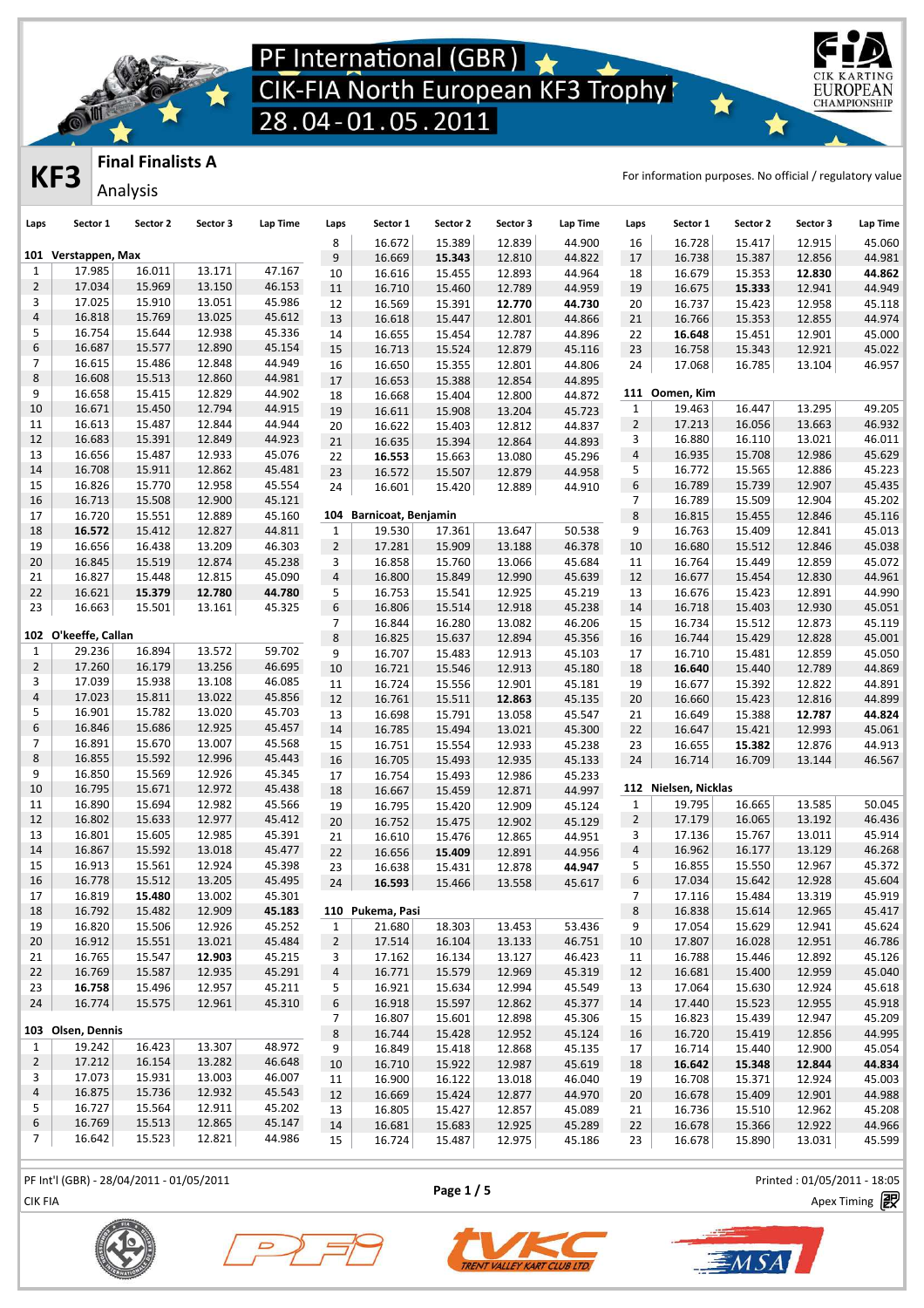

### **Final Finalists A**

Analysis

**KF3 FINICITY EXECUTES EXECUTES EXECUTES EXECUTES EXECUTES EXECUTES EXECUTES EXECUTES EXECUTES EXECUTES EXECUTES EXECUTES EXECUTES EXECUTES EXECUTES EXECUTES EXECUTES EXECUTES EXECUT** 

EUROPEA **CHAMPIONSHIP** 

| Laps                           | Sector 1             | Sector 2 | Sector 3         | Lap Time         | Laps           | Sector 1                | Sector 2 | Sector 3 | Lap Time | Laps                    | Sector 1             | Sector 2 | Sector 3 | Lap Time |
|--------------------------------|----------------------|----------|------------------|------------------|----------------|-------------------------|----------|----------|----------|-------------------------|----------------------|----------|----------|----------|
|                                |                      |          |                  |                  | 8              | 16.672                  | 15.389   | 12.839   | 44.900   | 16                      | 16.728               | 15.417   | 12.915   | 45.060   |
|                                | 101 Verstappen, Max  | 16.011   |                  |                  | 9              | 16.669                  | 15.343   | 12.810   | 44.822   | 17                      | 16.738               | 15.387   | 12.856   | 44.981   |
| $\mathbf{1}$<br>$\overline{2}$ | 17.985<br>17.034     | 15.969   | 13.171<br>13.150 | 47.167<br>46.153 | 10             | 16.616                  | 15.455   | 12.893   | 44.964   | 18                      | 16.679               | 15.353   | 12.830   | 44.862   |
| 3                              | 17.025               | 15.910   | 13.051           | 45.986           | 11             | 16.710                  | 15.460   | 12.789   | 44.959   | 19                      | 16.675               | 15.333   | 12.941   | 44.949   |
|                                |                      |          |                  |                  | 12             | 16.569                  | 15.391   | 12.770   | 44.730   | 20                      | 16.737               | 15.423   | 12.958   | 45.118   |
| 4                              | 16.818               | 15.769   | 13.025           | 45.612           | 13             | 16.618                  | 15.447   | 12.801   | 44.866   | 21                      | 16.766               | 15.353   | 12.855   | 44.974   |
| 5                              | 16.754               | 15.644   | 12.938           | 45.336           | 14             | 16.655                  | 15.454   | 12.787   | 44.896   | 22                      | 16.648               | 15.451   | 12.901   | 45.000   |
| 6                              | 16.687               | 15.577   | 12.890           | 45.154           | 15             | 16.713                  | 15.524   | 12.879   | 45.116   | 23                      | 16.758               | 15.343   | 12.921   | 45.022   |
| 7                              | 16.615               | 15.486   | 12.848           | 44.949           | 16             | 16.650                  | 15.355   | 12.801   | 44.806   | 24                      | 17.068               | 16.785   | 13.104   | 46.957   |
| 8                              | 16.608               | 15.513   | 12.860           | 44.981           | 17             | 16.653                  | 15.388   | 12.854   | 44.895   |                         |                      |          |          |          |
| 9                              | 16.658               | 15.415   | 12.829           | 44.902           | 18             | 16.668                  | 15.404   | 12.800   | 44.872   |                         | 111 Oomen, Kim       |          |          |          |
| 10                             | 16.671               | 15.450   | 12.794           | 44.915           | 19             | 16.611                  | 15.908   | 13.204   | 45.723   | $\mathbf{1}$            | 19.463               | 16.447   | 13.295   | 49.205   |
| 11                             | 16.613               | 15.487   | 12.844           | 44.944           | 20             | 16.622                  | 15.403   | 12.812   | 44.837   | $\overline{2}$          | 17.213               | 16.056   | 13.663   | 46.932   |
| 12                             | 16.683               | 15.391   | 12.849           | 44.923           | 21             | 16.635                  | 15.394   | 12.864   | 44.893   | 3                       | 16.880               | 16.110   | 13.021   | 46.011   |
| 13                             | 16.656               | 15.487   | 12.933           | 45.076           | 22             | 16.553                  | 15.663   | 13.080   | 45.296   | $\overline{\mathbf{4}}$ | 16.935               | 15.708   | 12.986   | 45.629   |
| 14                             | 16.708               | 15.911   | 12.862           | 45.481           | 23             | 16.572                  | 15.507   | 12.879   | 44.958   | 5                       | 16.772               | 15.565   | 12.886   | 45.223   |
| 15                             | 16.826               | 15.770   | 12.958           | 45.554           | 24             | 16.601                  | 15.420   | 12.889   | 44.910   | 6                       | 16.789               | 15.739   | 12.907   | 45.435   |
| 16                             | 16.713               | 15.508   | 12.900           | 45.121           |                |                         |          |          |          | $\overline{7}$          | 16.789               | 15.509   | 12.904   | 45.202   |
| 17                             | 16.720               | 15.551   | 12.889           | 45.160           |                | 104 Barnicoat, Benjamin |          |          |          | 8                       | 16.815               | 15.455   | 12.846   | 45.116   |
| 18                             | 16.572               | 15.412   | 12.827           | 44.811           | $\mathbf{1}$   | 19.530                  | 17.361   | 13.647   | 50.538   | 9                       | 16.763               | 15.409   | 12.841   | 45.013   |
| 19                             | 16.656               | 16.438   | 13.209           | 46.303           | $\overline{2}$ | 17.281                  | 15.909   | 13.188   | 46.378   | 10                      | 16.680               | 15.512   | 12.846   | 45.038   |
| 20                             | 16.845               | 15.519   | 12.874           | 45.238           | 3              | 16.858                  | 15.760   | 13.066   | 45.684   | 11                      | 16.764               | 15.449   | 12.859   | 45.072   |
| 21                             | 16.827               | 15.448   | 12.815           | 45.090           | 4              | 16.800                  | 15.849   | 12.990   | 45.639   | 12                      | 16.677               | 15.454   | 12.830   | 44.961   |
| 22                             | 16.621               | 15.379   | 12.780           | 44.780           | 5              | 16.753                  | 15.541   | 12.925   | 45.219   | 13                      | 16.676               | 15.423   | 12.891   | 44.990   |
| 23                             | 16.663               | 15.501   | 13.161           | 45.325           | 6              | 16.806                  | 15.514   | 12.918   | 45.238   | 14                      | 16.718               | 15.403   | 12.930   | 45.051   |
|                                |                      |          |                  |                  | $\overline{7}$ | 16.844                  | 16.280   | 13.082   | 46.206   | 15                      | 16.734               | 15.512   | 12.873   | 45.119   |
|                                | 102 O'keeffe, Callan |          |                  |                  | $\,8\,$        | 16.825                  | 15.637   | 12.894   | 45.356   | 16                      | 16.744               | 15.429   | 12.828   | 45.001   |
| $\mathbf{1}$                   | 29.236               | 16.894   | 13.572           | 59.702           | 9              | 16.707                  | 15.483   | 12.913   | 45.103   | 17                      | 16.710               | 15.481   | 12.859   | 45.050   |
| $\overline{2}$                 | 17.260               | 16.179   | 13.256           | 46.695           | 10             | 16.721                  | 15.546   | 12.913   | 45.180   | 18                      | 16.640               | 15.440   | 12.789   | 44.869   |
| 3                              | 17.039               | 15.938   | 13.108           | 46.085           | 11             | 16.724                  | 15.556   | 12.901   | 45.181   | 19                      | 16.677               | 15.392   | 12.822   | 44.891   |
| 4                              | 17.023               | 15.811   | 13.022           | 45.856           | 12             | 16.761                  | 15.511   | 12.863   | 45.135   | 20                      | 16.660               | 15.423   | 12.816   | 44.899   |
| 5                              | 16.901               | 15.782   | 13.020           | 45.703           | 13             | 16.698                  | 15.791   | 13.058   | 45.547   | 21                      | 16.649               | 15.388   | 12.787   | 44.824   |
| 6                              | 16.846               | 15.686   | 12.925           | 45.457           | 14             | 16.785                  | 15.494   | 13.021   | 45.300   | 22                      | 16.647               | 15.421   | 12.993   | 45.061   |
| $\overline{7}$                 | 16.891               | 15.670   | 13.007           | 45.568           | 15             | 16.751                  | 15.554   | 12.933   | 45.238   | 23                      | 16.655               | 15.382   | 12.876   | 44.913   |
| 8                              | 16.855               | 15.592   | 12.996           | 45.443           | 16             | 16.705                  | 15.493   | 12.935   | 45.133   | 24                      | 16.714               | 16.709   | 13.144   | 46.567   |
| 9                              | 16.850               | 15.569   | 12.926           | 45.345           | 17             | 16.754                  | 15.493   | 12.986   | 45.233   |                         |                      |          |          |          |
| 10                             | 16.795               | 15.671   | 12.972           | 45.438           | 18             | 16.667                  | 15.459   | 12.871   | 44.997   |                         | 112 Nielsen, Nicklas |          |          |          |
| 11                             | 16.890               | 15.694   | 12.982           | 45.566           | 19             | 16.795                  | 15.420   | 12.909   | 45.124   | $\mathbf{1}$            | 19.795               | 16.665   | 13.585   | 50.045   |
| 12                             | 16.802               | 15.633   | 12.977           | 45.412           | 20             | 16.752                  | 15.475   | 12.902   | 45.129   | $\overline{2}$          | 17.179               | 16.065   | 13.192   | 46.436   |
| 13                             | 16.801               | 15.605   | 12.985           | 45.391           | 21             | 16.610                  | 15.476   | 12.865   | 44.951   | 3                       | 17.136               | 15.767   | 13.011   | 45.914   |
| 14                             | 16.867               | 15.592   | 13.018           | 45.477           | 22             | 16.656                  | 15.409   | 12.891   | 44.956   | $\overline{4}$          | 16.962               | 16.177   | 13.129   | 46.268   |
| 15                             | 16.913               | 15.561   | 12.924           | 45.398           | 23             | 16.638                  | 15.431   | 12.878   | 44.947   | 5                       | 16.855               | 15.550   | 12.967   | 45.372   |
| 16                             | 16.778               | 15.512   | 13.205           | 45.495           | 24             | 16.593                  | 15.466   | 13.558   | 45.617   | $\,$ 6 $\,$             | 17.034               | 15.642   | 12.928   | 45.604   |
| 17                             | 16.819               | 15.480   | 13.002           | 45.301           |                |                         |          |          |          | 7                       | 17.116               | 15.484   | 13.319   | 45.919   |
| 18                             | 16.792               | 15.482   | 12.909           | 45.183           |                | 110 Pukema, Pasi        |          |          |          | $\bf 8$                 | 16.838               | 15.614   | 12.965   | 45.417   |
| 19                             | 16.820               | 15.506   | 12.926           | 45.252           | $\mathbf{1}$   | 21.680                  | 18.303   | 13.453   | 53.436   | 9                       | 17.054               | 15.629   | 12.941   | 45.624   |
| 20                             | 16.912               | 15.551   | 13.021           | 45.484           | $\overline{2}$ | 17.514                  | 16.104   | 13.133   | 46.751   | 10                      | 17.807               | 16.028   | 12.951   | 46.786   |
| 21                             | 16.765               | 15.547   | 12.903           | 45.215           | 3              | 17.162                  | 16.134   | 13.127   | 46.423   | 11                      | 16.788               | 15.446   | 12.892   | 45.126   |
| 22                             | 16.769               | 15.587   | 12.935           | 45.291           | $\overline{a}$ | 16.771                  | 15.579   | 12.969   | 45.319   | 12                      | 16.681               | 15.400   | 12.959   | 45.040   |
| 23                             | 16.758               | 15.496   | 12.957           | 45.211           | 5              | 16.921                  | 15.634   | 12.994   | 45.549   | 13                      | 17.064               | 15.630   | 12.924   | 45.618   |
| 24                             | 16.774               | 15.575   | 12.961           | 45.310           | 6              | 16.918                  | 15.597   | 12.862   | 45.377   | 14                      | 17.440               | 15.523   | 12.955   | 45.918   |
|                                |                      |          |                  |                  | $\overline{7}$ | 16.807                  | 15.601   | 12.898   | 45.306   | 15                      | 16.823               | 15.439   | 12.947   | 45.209   |
|                                | 103 Olsen, Dennis    |          |                  |                  | $\,8\,$        | 16.744                  | 15.428   | 12.952   | 45.124   | 16                      | 16.720               | 15.419   | 12.856   | 44.995   |
| $\mathbf{1}$                   | 19.242               | 16.423   | 13.307           | 48.972           | 9              | 16.849                  | 15.418   | 12.868   | 45.135   | 17                      | 16.714               | 15.440   | 12.900   | 45.054   |
| $\overline{2}$                 | 17.212               | 16.154   | 13.282           | 46.648           | 10             | 16.710                  | 15.922   | 12.987   | 45.619   | 18                      | 16.642               | 15.348   | 12.844   | 44.834   |
| 3                              | 17.073               | 15.931   | 13.003           | 46.007           | 11             | 16.900                  | 16.122   | 13.018   | 46.040   | 19                      | 16.708               | 15.371   | 12.924   | 45.003   |
| 4                              | 16.875               | 15.736   | 12.932           | 45.543           | 12             | 16.669                  | 15.424   | 12.877   | 44.970   | 20                      | 16.678               | 15.409   | 12.901   | 44.988   |
| 5                              | 16.727               | 15.564   | 12.911           | 45.202           | 13             | 16.805                  | 15.427   | 12.857   | 45.089   | 21                      | 16.736               | 15.510   | 12.962   | 45.208   |
| 6                              | 16.769               | 15.513   | 12.865           | 45.147           | 14             | 16.681                  | 15.683   | 12.925   | 45.289   | 22                      | 16.678               | 15.366   | 12.922   | 44.966   |
| 7                              | 16.642               | 15.523   | 12.821           | 44.986           | 15             | 16.724                  | 15.487   | 12.975   | 45.186   | 23                      | 16.678               | 15.890   | 13.031   | 45.599   |
|                                |                      |          |                  |                  |                |                         |          |          |          |                         |                      |          |          |          |

PF Int'l (GBR) - 28/04/2011 - 01/05/2011 Printed : 01/05/2011 - 18:05

**Page 1 / 5**

CIK FIA Apex Timing







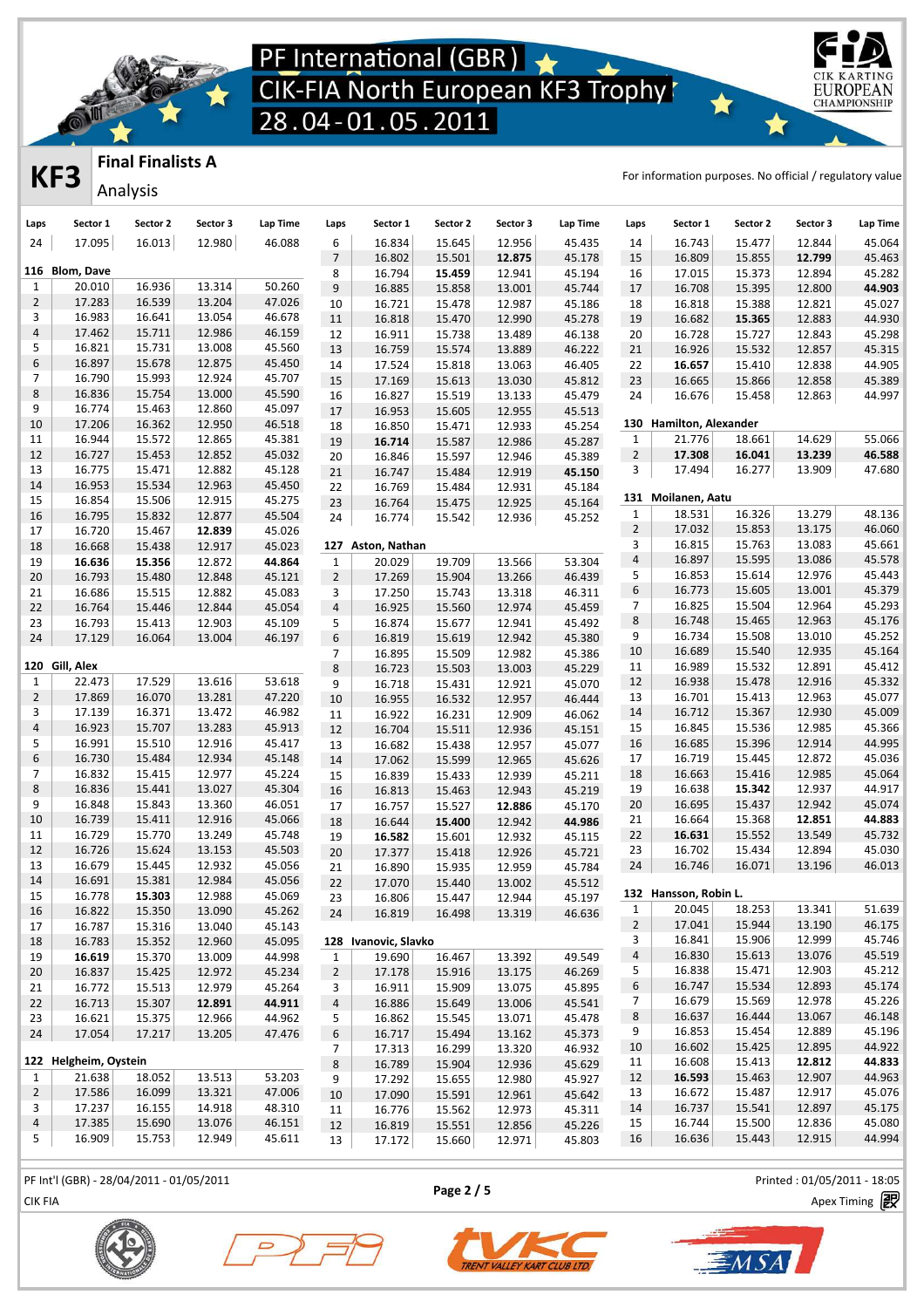

### **Final Finalists A**

Analysis

**KF3** Final Finalists A For information purposes. No official / regulatory value

EUROPEA **CHAMPIONSHIP** 

| 17.095<br>16.013<br>46.088<br>6<br>16.834<br>15.645<br>12.956<br>45.435<br>16.743<br>12.844<br>24<br>12.980<br>14<br>15.477<br>$\overline{7}$<br>45.178<br>12.799<br>16.802<br>15.501<br>12.875<br>15<br>16.809<br>15.855<br>116 Blom, Dave<br>8<br>45.194<br>15.373<br>12.894<br>45.282<br>16.794<br>15.459<br>12.941<br>16<br>17.015<br>20.010<br>16.936<br>13.314<br>50.260<br>$\mathbf{1}$<br>$\boldsymbol{9}$<br>44.903<br>16.885<br>45.744<br>16.708<br>12.800<br>15.858<br>13.001<br>17<br>15.395<br>16.539<br>$\overline{2}$<br>17.283<br>13.204<br>47.026<br>45.027<br>10<br>16.721<br>12.987<br>45.186<br>16.818<br>15.388<br>12.821<br>15.478<br>18<br>13.054<br>3<br>16.983<br>16.641<br>46.678<br>16.682<br>12.883<br>44.930<br>11<br>16.818<br>15.470<br>12.990<br>45.278<br>19<br>15.365<br>4<br>17.462<br>15.711<br>12.986<br>46.159<br>12<br>16.911<br>15.738<br>13.489<br>46.138<br>16.728<br>15.727<br>12.843<br>45.298<br>20<br>13.008<br>5<br>16.821<br>15.731<br>45.560<br>13<br>16.759<br>46.222<br>12.857<br>45.315<br>15.574<br>13.889<br>21<br>16.926<br>15.532<br>$\boldsymbol{6}$<br>15.678<br>12.875<br>16.897<br>45.450<br>44.905<br>14<br>17.524<br>46.405<br>22<br>16.657<br>15.410<br>12.838<br>15.818<br>13.063<br>$\overline{7}$<br>16.790<br>15.993<br>12.924<br>45.707<br>45.389<br>15<br>17.169<br>15.613<br>13.030<br>45.812<br>23<br>16.665<br>15.866<br>12.858<br>8<br>16.836<br>15.754<br>13.000<br>45.590<br>44.997<br>16<br>16.827<br>15.519<br>13.133<br>45.479<br>24<br>16.676<br>15.458<br>12.863<br>9<br>16.774<br>15.463<br>12.860<br>45.097<br>16.953<br>15.605<br>12.955<br>45.513<br>17<br>130 Hamilton, Alexander<br>17.206<br>16.362<br>12.950<br>10<br>46.518<br>18<br>16.850<br>15.471<br>12.933<br>45.254<br>14.629<br>55.066<br>16.944<br>15.572<br>12.865<br>45.381<br>21.776<br>11<br>$\mathbf{1}$<br>18.661<br>19<br>16.714<br>12.986<br>45.287<br>15.587<br>$\overline{2}$<br>17.308<br>13.239<br>46.588<br>12<br>16.727<br>15.453<br>12.852<br>45.032<br>16.041<br>16.846<br>45.389<br>20<br>15.597<br>12.946<br>47.680<br>16.775<br>15.471<br>12.882<br>45.128<br>3<br>17.494<br>16.277<br>13.909<br>13<br>21<br>16.747<br>15.484<br>12.919<br>45.150<br>16.953<br>15.534<br>12.963<br>45.450<br>14<br>22<br>16.769<br>15.484<br>12.931<br>45.184<br>131 Moilanen, Aatu<br>15<br>16.854<br>15.506<br>12.915<br>45.275<br>45.164<br>23<br>16.764<br>15.475<br>12.925<br>13.279<br>18.531<br>16.326<br>48.136<br>1<br>15.832<br>12.877<br>45.504<br>16<br>16.795<br>16.774<br>45.252<br>24<br>15.542<br>12.936<br>$\overline{2}$<br>17.032<br>13.175<br>46.060<br>15.853<br>16.720<br>15.467<br>12.839<br>45.026<br>17<br>3<br>16.815<br>15.763<br>13.083<br>127 Aston, Nathan<br>18<br>16.668<br>15.438<br>12.917<br>45.023<br>$\overline{a}$<br>13.086<br>16.897<br>15.595<br>44.864<br>53.304<br>19<br>16.636<br>15.356<br>12.872<br>$\mathbf{1}$<br>20.029<br>19.709<br>13.566<br>5<br>16.853<br>15.614<br>12.976<br>$\overline{2}$<br>46.439<br>20<br>16.793<br>15.480<br>12.848<br>45.121<br>17.269<br>15.904<br>13.266<br>$\,$ 6 $\,$<br>16.773<br>15.605<br>13.001<br>45.379<br>46.311<br>16.686<br>15.515<br>12.882<br>45.083<br>3<br>17.250<br>15.743<br>13.318<br>21<br>45.293<br>$\overline{7}$<br>16.825<br>15.504<br>12.964<br>15.446<br>12.844<br>45.054<br>$\sqrt{4}$<br>16.925<br>45.459<br>22<br>16.764<br>15.560<br>12.974<br>8<br>12.963<br>45.176<br>16.748<br>15.465<br>23<br>16.793<br>15.413<br>12.903<br>45.109<br>5<br>16.874<br>12.941<br>45.492<br>15.677<br>16.734<br>15.508<br>13.010<br>45.252<br>9<br>$\,$ 6 $\,$<br>16.064<br>24<br>17.129<br>13.004<br>46.197<br>16.819<br>15.619<br>12.942<br>45.380<br>12.935<br>45.164<br>10<br>16.689<br>15.540<br>45.386<br>$\overline{7}$<br>16.895<br>15.509<br>12.982<br>120 Gill, Alex<br>12.891<br>45.412<br>16.989<br>15.532<br>11<br>$\,$ 8 $\,$<br>16.723<br>45.229<br>15.503<br>13.003<br>17.529<br>13.616<br>53.618<br>12.916<br>45.332<br>22.473<br>16.938<br>15.478<br>$\mathbf{1}$<br>12<br>9<br>45.070<br>16.718<br>15.431<br>12.921<br>$\overline{2}$<br>17.869<br>16.070<br>12.963<br>45.077<br>13.281<br>47.220<br>16.701<br>13<br>15.413<br>10<br>16.955<br>46.444<br>16.532<br>12.957<br>12.930<br>45.009<br>3<br>17.139<br>16.371<br>13.472<br>46.982<br>14<br>16.712<br>15.367<br>11<br>16.922<br>46.062<br>16.231<br>12.909<br>$\sqrt{4}$<br>16.923<br>15.707<br>13.283<br>45.913<br>16.845<br>12.985<br>45.366<br>15<br>15.536<br>12<br>16.704<br>15.511<br>12.936<br>45.151<br>44.995<br>5<br>16.991<br>15.510<br>12.916<br>45.417<br>16<br>16.685<br>15.396<br>12.914<br>45.077<br>13<br>16.682<br>15.438<br>12.957<br>6<br>16.730<br>15.484<br>12.934<br>12.872<br>45.036<br>45.148<br>16.719<br>15.445<br>17<br>17.062<br>45.626<br>14<br>15.599<br>12.965<br>16.832<br>15.415<br>12.977<br>45.224<br>16.663<br>15.416<br>12.985<br>45.064<br>$\overline{7}$<br>18<br>15<br>16.839<br>15.433<br>12.939<br>45.211<br>8<br>16.836<br>15.441<br>13.027<br>45.304<br>12.937<br>44.917<br>19<br>16.638<br>15.342<br>16<br>16.813<br>45.219<br>15.463<br>12.943<br>15.843<br>16.695<br>12.942<br>45.074<br>9<br>16.848<br>13.360<br>46.051<br>20<br>15.437<br>16.757<br>45.170<br>17<br>15.527<br>12.886<br>44.883<br>10<br>16.739<br>15.411<br>12.916<br>45.066<br>21<br>16.664<br>15.368<br>12.851<br>16.644<br>44.986<br>18<br>15.400<br>12.942<br>13.549<br>16.729<br>15.770<br>13.249<br>45.748<br>22<br>16.631<br>15.552<br>45.732<br>11<br>19<br>16.582<br>15.601<br>12.932<br>45.115<br>15.624<br>12<br>16.726<br>13.153<br>45.503<br>23<br>16.702<br>15.434<br>12.894<br>20<br>17.377<br>45.721<br>15.418<br>12.926<br>16.679<br>12.932<br>45.056<br>24<br>16.746<br>16.071<br>13.196<br>13<br>15.445<br>45.784<br>21<br>16.890<br>15.935<br>12.959<br>14<br>16.691<br>15.381<br>12.984<br>45.056<br>22<br>17.070<br>15.440<br>13.002<br>45.512<br>132 Hansson, Robin L.<br>15<br>16.778<br>15.303<br>12.988<br>45.069<br>45.197<br>23<br>16.806<br>15.447<br>12.944<br>13.341<br>18.253<br>16<br>16.822<br>15.350<br>13.090<br>45.262<br>$\mathbf{1}$<br>20.045<br>16.819<br>16.498<br>13.319<br>46.636<br>24<br>$\overline{2}$<br>17.041<br>15.944<br>13.190<br>16.787<br>15.316<br>13.040<br>45.143<br>17<br>3<br>16.841<br>15.906<br>12.999<br>15.352<br>12.960<br>45.095<br>128 Ivanovic, Slavko<br>16.783<br>18<br>$\overline{a}$<br>16.830<br>15.613<br>13.076<br>45.519<br>16.619<br>15.370<br>13.009<br>44.998<br>19.690<br>16.467<br>13.392<br>49.549<br>19<br>$\mathbf{1}$<br>5<br>16.838<br>15.471<br>12.903<br>45.212<br>16.837<br>15.425<br>12.972<br>45.234<br>17.178<br>15.916<br>13.175<br>46.269<br>$\overline{2}$<br>20<br>6<br>16.747<br>15.534<br>12.893<br>45.174<br>16.772<br>15.513<br>12.979<br>45.264<br>3<br>16.911<br>15.909<br>13.075<br>45.895<br>21<br>16.679<br>15.569<br>12.978<br>45.226<br>$\overline{7}$<br>12.891<br>16.886<br>16.713<br>15.307<br>44.911<br>4<br>15.649<br>13.006<br>45.541<br>22<br>8<br>16.637<br>16.444<br>13.067<br>46.148<br>15.375<br>16.621<br>12.966<br>44.962<br>5<br>16.862<br>15.545<br>13.071<br>45.478<br>23<br>9<br>16.853<br>15.454<br>12.889<br>45.196<br>17.054<br>24<br>17.217<br>13.205<br>47.476<br>6<br>16.717<br>15.494<br>13.162<br>45.373<br>16.602<br>15.425<br>12.895<br>10<br>44.922<br>17.313<br>46.932<br>$\overline{7}$<br>16.299<br>13.320<br>122 Helgheim, Oystein<br>44.833<br>16.608<br>15.413<br>12.812<br>11<br>$\,8\,$<br>16.789<br>15.904<br>12.936<br>45.629<br>13.513<br>53.203<br>16.593<br>12.907<br>44.963<br>1<br>21.638<br>18.052<br>12<br>15.463<br>17.292<br>45.927<br>9<br>15.655<br>12.980<br>16.099<br>$\overline{2}$<br>17.586<br>13.321<br>47.006<br>16.672<br>15.487<br>12.917<br>45.076<br>13<br>45.642<br>10<br>17.090<br>15.591<br>12.961<br>17.237<br>14.918<br>16.737<br>15.541<br>12.897<br>45.175<br>3<br>16.155<br>48.310<br>14<br>16.776<br>15.562<br>12.973<br>45.311<br>11<br>17.385<br>12.836<br>$\overline{4}$<br>15.690<br>13.076<br>46.151<br>16.744<br>15.500<br>45.080<br>15<br>12<br>16.819<br>15.551<br>12.856<br>45.226<br>5<br>16.909<br>15.753<br>12.949<br>45.611<br>16.636<br>15.443<br>12.915<br>44.994<br>16<br>13<br>17.172<br>15.660<br>12.971<br>45.803 |      |          |          |          |          |      |          |          |          |          |      |          |          |          |          |
|--------------------------------------------------------------------------------------------------------------------------------------------------------------------------------------------------------------------------------------------------------------------------------------------------------------------------------------------------------------------------------------------------------------------------------------------------------------------------------------------------------------------------------------------------------------------------------------------------------------------------------------------------------------------------------------------------------------------------------------------------------------------------------------------------------------------------------------------------------------------------------------------------------------------------------------------------------------------------------------------------------------------------------------------------------------------------------------------------------------------------------------------------------------------------------------------------------------------------------------------------------------------------------------------------------------------------------------------------------------------------------------------------------------------------------------------------------------------------------------------------------------------------------------------------------------------------------------------------------------------------------------------------------------------------------------------------------------------------------------------------------------------------------------------------------------------------------------------------------------------------------------------------------------------------------------------------------------------------------------------------------------------------------------------------------------------------------------------------------------------------------------------------------------------------------------------------------------------------------------------------------------------------------------------------------------------------------------------------------------------------------------------------------------------------------------------------------------------------------------------------------------------------------------------------------------------------------------------------------------------------------------------------------------------------------------------------------------------------------------------------------------------------------------------------------------------------------------------------------------------------------------------------------------------------------------------------------------------------------------------------------------------------------------------------------------------------------------------------------------------------------------------------------------------------------------------------------------------------------------------------------------------------------------------------------------------------------------------------------------------------------------------------------------------------------------------------------------------------------------------------------------------------------------------------------------------------------------------------------------------------------------------------------------------------------------------------------------------------------------------------------------------------------------------------------------------------------------------------------------------------------------------------------------------------------------------------------------------------------------------------------------------------------------------------------------------------------------------------------------------------------------------------------------------------------------------------------------------------------------------------------------------------------------------------------------------------------------------------------------------------------------------------------------------------------------------------------------------------------------------------------------------------------------------------------------------------------------------------------------------------------------------------------------------------------------------------------------------------------------------------------------------------------------------------------------------------------------------------------------------------------------------------------------------------------------------------------------------------------------------------------------------------------------------------------------------------------------------------------------------------------------------------------------------------------------------------------------------------------------------------------------------------------------------------------------------------------------------------------------------------------------------------------------------------------------------------------------------------------------------------------------------------------------------------------------------------------------------------------------------------------------------------------------------------------------------------------------------------------------------------------------------------------------------------------------------------------------------------------------------------------------------------------------------------------------------------------------------------------------------------------------------------------------------------------------------------------------------------------------------------------------------------------------------------------------------------------------------------------------------------------------------------------------------------------------------------------------------------------------------------------------------------------------------------------------------------------------------------------------------------------------------------------------------------------------------------------------------------------------------------------------------------------------------------------------------------------------------------------------------------------------------------------------------------------------------------------------------------------------------------------------------------------------------------------------------------------------------------------------------------------------------------------------------------------------------------------------------------------------------------------------------------------------------------------------------------------------------------------------------------------------------------------------------------------------------------------------------------------------------------------------------------------------------------------------------------------------------------------------------------------------------------------------------------------------------------------------------------------------------------------------------------------------------------------------------------------------------------------------------------------------------------------------------------------------------------------------------------------------------------------------------------------------------------------------------------------------------------------------------------------------------------------------------------------------------------------------------------------------------------------------------------------------------------------------------------------------------------------------------------------------------|------|----------|----------|----------|----------|------|----------|----------|----------|----------|------|----------|----------|----------|----------|
|                                                                                                                                                                                                                                                                                                                                                                                                                                                                                                                                                                                                                                                                                                                                                                                                                                                                                                                                                                                                                                                                                                                                                                                                                                                                                                                                                                                                                                                                                                                                                                                                                                                                                                                                                                                                                                                                                                                                                                                                                                                                                                                                                                                                                                                                                                                                                                                                                                                                                                                                                                                                                                                                                                                                                                                                                                                                                                                                                                                                                                                                                                                                                                                                                                                                                                                                                                                                                                                                                                                                                                                                                                                                                                                                                                                                                                                                                                                                                                                                                                                                                                                                                                                                                                                                                                                                                                                                                                                                                                                                                                                                                                                                                                                                                                                                                                                                                                                                                                                                                                                                                                                                                                                                                                                                                                                                                                                                                                                                                                                                                                                                                                                                                                                                                                                                                                                                                                                                                                                                                                                                                                                                                                                                                                                                                                                                                                                                                                                                                                                                                                                                                                                                                                                                                                                                                                                                                                                                                                                                                                                                                                                                                                                                                                                                                                                                                                                                                                                                                                                                                                                                                                                                                                                                                                                                                                                                                                                                                                                                                                                                                                                                                                                                                                                                    | Laps | Sector 1 | Sector 2 | Sector 3 | Lap Time | Laps | Sector 1 | Sector 2 | Sector 3 | Lap Time | Laps | Sector 1 | Sector 2 | Sector 3 | Lap Time |
|                                                                                                                                                                                                                                                                                                                                                                                                                                                                                                                                                                                                                                                                                                                                                                                                                                                                                                                                                                                                                                                                                                                                                                                                                                                                                                                                                                                                                                                                                                                                                                                                                                                                                                                                                                                                                                                                                                                                                                                                                                                                                                                                                                                                                                                                                                                                                                                                                                                                                                                                                                                                                                                                                                                                                                                                                                                                                                                                                                                                                                                                                                                                                                                                                                                                                                                                                                                                                                                                                                                                                                                                                                                                                                                                                                                                                                                                                                                                                                                                                                                                                                                                                                                                                                                                                                                                                                                                                                                                                                                                                                                                                                                                                                                                                                                                                                                                                                                                                                                                                                                                                                                                                                                                                                                                                                                                                                                                                                                                                                                                                                                                                                                                                                                                                                                                                                                                                                                                                                                                                                                                                                                                                                                                                                                                                                                                                                                                                                                                                                                                                                                                                                                                                                                                                                                                                                                                                                                                                                                                                                                                                                                                                                                                                                                                                                                                                                                                                                                                                                                                                                                                                                                                                                                                                                                                                                                                                                                                                                                                                                                                                                                                                                                                                                                                    |      |          |          |          |          |      |          |          |          |          |      |          |          |          | 45.064   |
|                                                                                                                                                                                                                                                                                                                                                                                                                                                                                                                                                                                                                                                                                                                                                                                                                                                                                                                                                                                                                                                                                                                                                                                                                                                                                                                                                                                                                                                                                                                                                                                                                                                                                                                                                                                                                                                                                                                                                                                                                                                                                                                                                                                                                                                                                                                                                                                                                                                                                                                                                                                                                                                                                                                                                                                                                                                                                                                                                                                                                                                                                                                                                                                                                                                                                                                                                                                                                                                                                                                                                                                                                                                                                                                                                                                                                                                                                                                                                                                                                                                                                                                                                                                                                                                                                                                                                                                                                                                                                                                                                                                                                                                                                                                                                                                                                                                                                                                                                                                                                                                                                                                                                                                                                                                                                                                                                                                                                                                                                                                                                                                                                                                                                                                                                                                                                                                                                                                                                                                                                                                                                                                                                                                                                                                                                                                                                                                                                                                                                                                                                                                                                                                                                                                                                                                                                                                                                                                                                                                                                                                                                                                                                                                                                                                                                                                                                                                                                                                                                                                                                                                                                                                                                                                                                                                                                                                                                                                                                                                                                                                                                                                                                                                                                                                                    |      |          |          |          |          |      |          |          |          |          |      |          |          |          | 45.463   |
|                                                                                                                                                                                                                                                                                                                                                                                                                                                                                                                                                                                                                                                                                                                                                                                                                                                                                                                                                                                                                                                                                                                                                                                                                                                                                                                                                                                                                                                                                                                                                                                                                                                                                                                                                                                                                                                                                                                                                                                                                                                                                                                                                                                                                                                                                                                                                                                                                                                                                                                                                                                                                                                                                                                                                                                                                                                                                                                                                                                                                                                                                                                                                                                                                                                                                                                                                                                                                                                                                                                                                                                                                                                                                                                                                                                                                                                                                                                                                                                                                                                                                                                                                                                                                                                                                                                                                                                                                                                                                                                                                                                                                                                                                                                                                                                                                                                                                                                                                                                                                                                                                                                                                                                                                                                                                                                                                                                                                                                                                                                                                                                                                                                                                                                                                                                                                                                                                                                                                                                                                                                                                                                                                                                                                                                                                                                                                                                                                                                                                                                                                                                                                                                                                                                                                                                                                                                                                                                                                                                                                                                                                                                                                                                                                                                                                                                                                                                                                                                                                                                                                                                                                                                                                                                                                                                                                                                                                                                                                                                                                                                                                                                                                                                                                                                                    |      |          |          |          |          |      |          |          |          |          |      |          |          |          |          |
|                                                                                                                                                                                                                                                                                                                                                                                                                                                                                                                                                                                                                                                                                                                                                                                                                                                                                                                                                                                                                                                                                                                                                                                                                                                                                                                                                                                                                                                                                                                                                                                                                                                                                                                                                                                                                                                                                                                                                                                                                                                                                                                                                                                                                                                                                                                                                                                                                                                                                                                                                                                                                                                                                                                                                                                                                                                                                                                                                                                                                                                                                                                                                                                                                                                                                                                                                                                                                                                                                                                                                                                                                                                                                                                                                                                                                                                                                                                                                                                                                                                                                                                                                                                                                                                                                                                                                                                                                                                                                                                                                                                                                                                                                                                                                                                                                                                                                                                                                                                                                                                                                                                                                                                                                                                                                                                                                                                                                                                                                                                                                                                                                                                                                                                                                                                                                                                                                                                                                                                                                                                                                                                                                                                                                                                                                                                                                                                                                                                                                                                                                                                                                                                                                                                                                                                                                                                                                                                                                                                                                                                                                                                                                                                                                                                                                                                                                                                                                                                                                                                                                                                                                                                                                                                                                                                                                                                                                                                                                                                                                                                                                                                                                                                                                                                                    |      |          |          |          |          |      |          |          |          |          |      |          |          |          |          |
|                                                                                                                                                                                                                                                                                                                                                                                                                                                                                                                                                                                                                                                                                                                                                                                                                                                                                                                                                                                                                                                                                                                                                                                                                                                                                                                                                                                                                                                                                                                                                                                                                                                                                                                                                                                                                                                                                                                                                                                                                                                                                                                                                                                                                                                                                                                                                                                                                                                                                                                                                                                                                                                                                                                                                                                                                                                                                                                                                                                                                                                                                                                                                                                                                                                                                                                                                                                                                                                                                                                                                                                                                                                                                                                                                                                                                                                                                                                                                                                                                                                                                                                                                                                                                                                                                                                                                                                                                                                                                                                                                                                                                                                                                                                                                                                                                                                                                                                                                                                                                                                                                                                                                                                                                                                                                                                                                                                                                                                                                                                                                                                                                                                                                                                                                                                                                                                                                                                                                                                                                                                                                                                                                                                                                                                                                                                                                                                                                                                                                                                                                                                                                                                                                                                                                                                                                                                                                                                                                                                                                                                                                                                                                                                                                                                                                                                                                                                                                                                                                                                                                                                                                                                                                                                                                                                                                                                                                                                                                                                                                                                                                                                                                                                                                                                                    |      |          |          |          |          |      |          |          |          |          |      |          |          |          |          |
|                                                                                                                                                                                                                                                                                                                                                                                                                                                                                                                                                                                                                                                                                                                                                                                                                                                                                                                                                                                                                                                                                                                                                                                                                                                                                                                                                                                                                                                                                                                                                                                                                                                                                                                                                                                                                                                                                                                                                                                                                                                                                                                                                                                                                                                                                                                                                                                                                                                                                                                                                                                                                                                                                                                                                                                                                                                                                                                                                                                                                                                                                                                                                                                                                                                                                                                                                                                                                                                                                                                                                                                                                                                                                                                                                                                                                                                                                                                                                                                                                                                                                                                                                                                                                                                                                                                                                                                                                                                                                                                                                                                                                                                                                                                                                                                                                                                                                                                                                                                                                                                                                                                                                                                                                                                                                                                                                                                                                                                                                                                                                                                                                                                                                                                                                                                                                                                                                                                                                                                                                                                                                                                                                                                                                                                                                                                                                                                                                                                                                                                                                                                                                                                                                                                                                                                                                                                                                                                                                                                                                                                                                                                                                                                                                                                                                                                                                                                                                                                                                                                                                                                                                                                                                                                                                                                                                                                                                                                                                                                                                                                                                                                                                                                                                                                                    |      |          |          |          |          |      |          |          |          |          |      |          |          |          |          |
|                                                                                                                                                                                                                                                                                                                                                                                                                                                                                                                                                                                                                                                                                                                                                                                                                                                                                                                                                                                                                                                                                                                                                                                                                                                                                                                                                                                                                                                                                                                                                                                                                                                                                                                                                                                                                                                                                                                                                                                                                                                                                                                                                                                                                                                                                                                                                                                                                                                                                                                                                                                                                                                                                                                                                                                                                                                                                                                                                                                                                                                                                                                                                                                                                                                                                                                                                                                                                                                                                                                                                                                                                                                                                                                                                                                                                                                                                                                                                                                                                                                                                                                                                                                                                                                                                                                                                                                                                                                                                                                                                                                                                                                                                                                                                                                                                                                                                                                                                                                                                                                                                                                                                                                                                                                                                                                                                                                                                                                                                                                                                                                                                                                                                                                                                                                                                                                                                                                                                                                                                                                                                                                                                                                                                                                                                                                                                                                                                                                                                                                                                                                                                                                                                                                                                                                                                                                                                                                                                                                                                                                                                                                                                                                                                                                                                                                                                                                                                                                                                                                                                                                                                                                                                                                                                                                                                                                                                                                                                                                                                                                                                                                                                                                                                                                                    |      |          |          |          |          |      |          |          |          |          |      |          |          |          |          |
|                                                                                                                                                                                                                                                                                                                                                                                                                                                                                                                                                                                                                                                                                                                                                                                                                                                                                                                                                                                                                                                                                                                                                                                                                                                                                                                                                                                                                                                                                                                                                                                                                                                                                                                                                                                                                                                                                                                                                                                                                                                                                                                                                                                                                                                                                                                                                                                                                                                                                                                                                                                                                                                                                                                                                                                                                                                                                                                                                                                                                                                                                                                                                                                                                                                                                                                                                                                                                                                                                                                                                                                                                                                                                                                                                                                                                                                                                                                                                                                                                                                                                                                                                                                                                                                                                                                                                                                                                                                                                                                                                                                                                                                                                                                                                                                                                                                                                                                                                                                                                                                                                                                                                                                                                                                                                                                                                                                                                                                                                                                                                                                                                                                                                                                                                                                                                                                                                                                                                                                                                                                                                                                                                                                                                                                                                                                                                                                                                                                                                                                                                                                                                                                                                                                                                                                                                                                                                                                                                                                                                                                                                                                                                                                                                                                                                                                                                                                                                                                                                                                                                                                                                                                                                                                                                                                                                                                                                                                                                                                                                                                                                                                                                                                                                                                                    |      |          |          |          |          |      |          |          |          |          |      |          |          |          |          |
|                                                                                                                                                                                                                                                                                                                                                                                                                                                                                                                                                                                                                                                                                                                                                                                                                                                                                                                                                                                                                                                                                                                                                                                                                                                                                                                                                                                                                                                                                                                                                                                                                                                                                                                                                                                                                                                                                                                                                                                                                                                                                                                                                                                                                                                                                                                                                                                                                                                                                                                                                                                                                                                                                                                                                                                                                                                                                                                                                                                                                                                                                                                                                                                                                                                                                                                                                                                                                                                                                                                                                                                                                                                                                                                                                                                                                                                                                                                                                                                                                                                                                                                                                                                                                                                                                                                                                                                                                                                                                                                                                                                                                                                                                                                                                                                                                                                                                                                                                                                                                                                                                                                                                                                                                                                                                                                                                                                                                                                                                                                                                                                                                                                                                                                                                                                                                                                                                                                                                                                                                                                                                                                                                                                                                                                                                                                                                                                                                                                                                                                                                                                                                                                                                                                                                                                                                                                                                                                                                                                                                                                                                                                                                                                                                                                                                                                                                                                                                                                                                                                                                                                                                                                                                                                                                                                                                                                                                                                                                                                                                                                                                                                                                                                                                                                                    |      |          |          |          |          |      |          |          |          |          |      |          |          |          |          |
|                                                                                                                                                                                                                                                                                                                                                                                                                                                                                                                                                                                                                                                                                                                                                                                                                                                                                                                                                                                                                                                                                                                                                                                                                                                                                                                                                                                                                                                                                                                                                                                                                                                                                                                                                                                                                                                                                                                                                                                                                                                                                                                                                                                                                                                                                                                                                                                                                                                                                                                                                                                                                                                                                                                                                                                                                                                                                                                                                                                                                                                                                                                                                                                                                                                                                                                                                                                                                                                                                                                                                                                                                                                                                                                                                                                                                                                                                                                                                                                                                                                                                                                                                                                                                                                                                                                                                                                                                                                                                                                                                                                                                                                                                                                                                                                                                                                                                                                                                                                                                                                                                                                                                                                                                                                                                                                                                                                                                                                                                                                                                                                                                                                                                                                                                                                                                                                                                                                                                                                                                                                                                                                                                                                                                                                                                                                                                                                                                                                                                                                                                                                                                                                                                                                                                                                                                                                                                                                                                                                                                                                                                                                                                                                                                                                                                                                                                                                                                                                                                                                                                                                                                                                                                                                                                                                                                                                                                                                                                                                                                                                                                                                                                                                                                                                                    |      |          |          |          |          |      |          |          |          |          |      |          |          |          |          |
|                                                                                                                                                                                                                                                                                                                                                                                                                                                                                                                                                                                                                                                                                                                                                                                                                                                                                                                                                                                                                                                                                                                                                                                                                                                                                                                                                                                                                                                                                                                                                                                                                                                                                                                                                                                                                                                                                                                                                                                                                                                                                                                                                                                                                                                                                                                                                                                                                                                                                                                                                                                                                                                                                                                                                                                                                                                                                                                                                                                                                                                                                                                                                                                                                                                                                                                                                                                                                                                                                                                                                                                                                                                                                                                                                                                                                                                                                                                                                                                                                                                                                                                                                                                                                                                                                                                                                                                                                                                                                                                                                                                                                                                                                                                                                                                                                                                                                                                                                                                                                                                                                                                                                                                                                                                                                                                                                                                                                                                                                                                                                                                                                                                                                                                                                                                                                                                                                                                                                                                                                                                                                                                                                                                                                                                                                                                                                                                                                                                                                                                                                                                                                                                                                                                                                                                                                                                                                                                                                                                                                                                                                                                                                                                                                                                                                                                                                                                                                                                                                                                                                                                                                                                                                                                                                                                                                                                                                                                                                                                                                                                                                                                                                                                                                                                                    |      |          |          |          |          |      |          |          |          |          |      |          |          |          |          |
|                                                                                                                                                                                                                                                                                                                                                                                                                                                                                                                                                                                                                                                                                                                                                                                                                                                                                                                                                                                                                                                                                                                                                                                                                                                                                                                                                                                                                                                                                                                                                                                                                                                                                                                                                                                                                                                                                                                                                                                                                                                                                                                                                                                                                                                                                                                                                                                                                                                                                                                                                                                                                                                                                                                                                                                                                                                                                                                                                                                                                                                                                                                                                                                                                                                                                                                                                                                                                                                                                                                                                                                                                                                                                                                                                                                                                                                                                                                                                                                                                                                                                                                                                                                                                                                                                                                                                                                                                                                                                                                                                                                                                                                                                                                                                                                                                                                                                                                                                                                                                                                                                                                                                                                                                                                                                                                                                                                                                                                                                                                                                                                                                                                                                                                                                                                                                                                                                                                                                                                                                                                                                                                                                                                                                                                                                                                                                                                                                                                                                                                                                                                                                                                                                                                                                                                                                                                                                                                                                                                                                                                                                                                                                                                                                                                                                                                                                                                                                                                                                                                                                                                                                                                                                                                                                                                                                                                                                                                                                                                                                                                                                                                                                                                                                                                                    |      |          |          |          |          |      |          |          |          |          |      |          |          |          |          |
|                                                                                                                                                                                                                                                                                                                                                                                                                                                                                                                                                                                                                                                                                                                                                                                                                                                                                                                                                                                                                                                                                                                                                                                                                                                                                                                                                                                                                                                                                                                                                                                                                                                                                                                                                                                                                                                                                                                                                                                                                                                                                                                                                                                                                                                                                                                                                                                                                                                                                                                                                                                                                                                                                                                                                                                                                                                                                                                                                                                                                                                                                                                                                                                                                                                                                                                                                                                                                                                                                                                                                                                                                                                                                                                                                                                                                                                                                                                                                                                                                                                                                                                                                                                                                                                                                                                                                                                                                                                                                                                                                                                                                                                                                                                                                                                                                                                                                                                                                                                                                                                                                                                                                                                                                                                                                                                                                                                                                                                                                                                                                                                                                                                                                                                                                                                                                                                                                                                                                                                                                                                                                                                                                                                                                                                                                                                                                                                                                                                                                                                                                                                                                                                                                                                                                                                                                                                                                                                                                                                                                                                                                                                                                                                                                                                                                                                                                                                                                                                                                                                                                                                                                                                                                                                                                                                                                                                                                                                                                                                                                                                                                                                                                                                                                                                                    |      |          |          |          |          |      |          |          |          |          |      |          |          |          |          |
|                                                                                                                                                                                                                                                                                                                                                                                                                                                                                                                                                                                                                                                                                                                                                                                                                                                                                                                                                                                                                                                                                                                                                                                                                                                                                                                                                                                                                                                                                                                                                                                                                                                                                                                                                                                                                                                                                                                                                                                                                                                                                                                                                                                                                                                                                                                                                                                                                                                                                                                                                                                                                                                                                                                                                                                                                                                                                                                                                                                                                                                                                                                                                                                                                                                                                                                                                                                                                                                                                                                                                                                                                                                                                                                                                                                                                                                                                                                                                                                                                                                                                                                                                                                                                                                                                                                                                                                                                                                                                                                                                                                                                                                                                                                                                                                                                                                                                                                                                                                                                                                                                                                                                                                                                                                                                                                                                                                                                                                                                                                                                                                                                                                                                                                                                                                                                                                                                                                                                                                                                                                                                                                                                                                                                                                                                                                                                                                                                                                                                                                                                                                                                                                                                                                                                                                                                                                                                                                                                                                                                                                                                                                                                                                                                                                                                                                                                                                                                                                                                                                                                                                                                                                                                                                                                                                                                                                                                                                                                                                                                                                                                                                                                                                                                                                                    |      |          |          |          |          |      |          |          |          |          |      |          |          |          |          |
|                                                                                                                                                                                                                                                                                                                                                                                                                                                                                                                                                                                                                                                                                                                                                                                                                                                                                                                                                                                                                                                                                                                                                                                                                                                                                                                                                                                                                                                                                                                                                                                                                                                                                                                                                                                                                                                                                                                                                                                                                                                                                                                                                                                                                                                                                                                                                                                                                                                                                                                                                                                                                                                                                                                                                                                                                                                                                                                                                                                                                                                                                                                                                                                                                                                                                                                                                                                                                                                                                                                                                                                                                                                                                                                                                                                                                                                                                                                                                                                                                                                                                                                                                                                                                                                                                                                                                                                                                                                                                                                                                                                                                                                                                                                                                                                                                                                                                                                                                                                                                                                                                                                                                                                                                                                                                                                                                                                                                                                                                                                                                                                                                                                                                                                                                                                                                                                                                                                                                                                                                                                                                                                                                                                                                                                                                                                                                                                                                                                                                                                                                                                                                                                                                                                                                                                                                                                                                                                                                                                                                                                                                                                                                                                                                                                                                                                                                                                                                                                                                                                                                                                                                                                                                                                                                                                                                                                                                                                                                                                                                                                                                                                                                                                                                                                                    |      |          |          |          |          |      |          |          |          |          |      |          |          |          |          |
|                                                                                                                                                                                                                                                                                                                                                                                                                                                                                                                                                                                                                                                                                                                                                                                                                                                                                                                                                                                                                                                                                                                                                                                                                                                                                                                                                                                                                                                                                                                                                                                                                                                                                                                                                                                                                                                                                                                                                                                                                                                                                                                                                                                                                                                                                                                                                                                                                                                                                                                                                                                                                                                                                                                                                                                                                                                                                                                                                                                                                                                                                                                                                                                                                                                                                                                                                                                                                                                                                                                                                                                                                                                                                                                                                                                                                                                                                                                                                                                                                                                                                                                                                                                                                                                                                                                                                                                                                                                                                                                                                                                                                                                                                                                                                                                                                                                                                                                                                                                                                                                                                                                                                                                                                                                                                                                                                                                                                                                                                                                                                                                                                                                                                                                                                                                                                                                                                                                                                                                                                                                                                                                                                                                                                                                                                                                                                                                                                                                                                                                                                                                                                                                                                                                                                                                                                                                                                                                                                                                                                                                                                                                                                                                                                                                                                                                                                                                                                                                                                                                                                                                                                                                                                                                                                                                                                                                                                                                                                                                                                                                                                                                                                                                                                                                                    |      |          |          |          |          |      |          |          |          |          |      |          |          |          |          |
|                                                                                                                                                                                                                                                                                                                                                                                                                                                                                                                                                                                                                                                                                                                                                                                                                                                                                                                                                                                                                                                                                                                                                                                                                                                                                                                                                                                                                                                                                                                                                                                                                                                                                                                                                                                                                                                                                                                                                                                                                                                                                                                                                                                                                                                                                                                                                                                                                                                                                                                                                                                                                                                                                                                                                                                                                                                                                                                                                                                                                                                                                                                                                                                                                                                                                                                                                                                                                                                                                                                                                                                                                                                                                                                                                                                                                                                                                                                                                                                                                                                                                                                                                                                                                                                                                                                                                                                                                                                                                                                                                                                                                                                                                                                                                                                                                                                                                                                                                                                                                                                                                                                                                                                                                                                                                                                                                                                                                                                                                                                                                                                                                                                                                                                                                                                                                                                                                                                                                                                                                                                                                                                                                                                                                                                                                                                                                                                                                                                                                                                                                                                                                                                                                                                                                                                                                                                                                                                                                                                                                                                                                                                                                                                                                                                                                                                                                                                                                                                                                                                                                                                                                                                                                                                                                                                                                                                                                                                                                                                                                                                                                                                                                                                                                                                                    |      |          |          |          |          |      |          |          |          |          |      |          |          |          |          |
|                                                                                                                                                                                                                                                                                                                                                                                                                                                                                                                                                                                                                                                                                                                                                                                                                                                                                                                                                                                                                                                                                                                                                                                                                                                                                                                                                                                                                                                                                                                                                                                                                                                                                                                                                                                                                                                                                                                                                                                                                                                                                                                                                                                                                                                                                                                                                                                                                                                                                                                                                                                                                                                                                                                                                                                                                                                                                                                                                                                                                                                                                                                                                                                                                                                                                                                                                                                                                                                                                                                                                                                                                                                                                                                                                                                                                                                                                                                                                                                                                                                                                                                                                                                                                                                                                                                                                                                                                                                                                                                                                                                                                                                                                                                                                                                                                                                                                                                                                                                                                                                                                                                                                                                                                                                                                                                                                                                                                                                                                                                                                                                                                                                                                                                                                                                                                                                                                                                                                                                                                                                                                                                                                                                                                                                                                                                                                                                                                                                                                                                                                                                                                                                                                                                                                                                                                                                                                                                                                                                                                                                                                                                                                                                                                                                                                                                                                                                                                                                                                                                                                                                                                                                                                                                                                                                                                                                                                                                                                                                                                                                                                                                                                                                                                                                                    |      |          |          |          |          |      |          |          |          |          |      |          |          |          |          |
|                                                                                                                                                                                                                                                                                                                                                                                                                                                                                                                                                                                                                                                                                                                                                                                                                                                                                                                                                                                                                                                                                                                                                                                                                                                                                                                                                                                                                                                                                                                                                                                                                                                                                                                                                                                                                                                                                                                                                                                                                                                                                                                                                                                                                                                                                                                                                                                                                                                                                                                                                                                                                                                                                                                                                                                                                                                                                                                                                                                                                                                                                                                                                                                                                                                                                                                                                                                                                                                                                                                                                                                                                                                                                                                                                                                                                                                                                                                                                                                                                                                                                                                                                                                                                                                                                                                                                                                                                                                                                                                                                                                                                                                                                                                                                                                                                                                                                                                                                                                                                                                                                                                                                                                                                                                                                                                                                                                                                                                                                                                                                                                                                                                                                                                                                                                                                                                                                                                                                                                                                                                                                                                                                                                                                                                                                                                                                                                                                                                                                                                                                                                                                                                                                                                                                                                                                                                                                                                                                                                                                                                                                                                                                                                                                                                                                                                                                                                                                                                                                                                                                                                                                                                                                                                                                                                                                                                                                                                                                                                                                                                                                                                                                                                                                                                                    |      |          |          |          |          |      |          |          |          |          |      |          |          |          |          |
|                                                                                                                                                                                                                                                                                                                                                                                                                                                                                                                                                                                                                                                                                                                                                                                                                                                                                                                                                                                                                                                                                                                                                                                                                                                                                                                                                                                                                                                                                                                                                                                                                                                                                                                                                                                                                                                                                                                                                                                                                                                                                                                                                                                                                                                                                                                                                                                                                                                                                                                                                                                                                                                                                                                                                                                                                                                                                                                                                                                                                                                                                                                                                                                                                                                                                                                                                                                                                                                                                                                                                                                                                                                                                                                                                                                                                                                                                                                                                                                                                                                                                                                                                                                                                                                                                                                                                                                                                                                                                                                                                                                                                                                                                                                                                                                                                                                                                                                                                                                                                                                                                                                                                                                                                                                                                                                                                                                                                                                                                                                                                                                                                                                                                                                                                                                                                                                                                                                                                                                                                                                                                                                                                                                                                                                                                                                                                                                                                                                                                                                                                                                                                                                                                                                                                                                                                                                                                                                                                                                                                                                                                                                                                                                                                                                                                                                                                                                                                                                                                                                                                                                                                                                                                                                                                                                                                                                                                                                                                                                                                                                                                                                                                                                                                                                                    |      |          |          |          |          |      |          |          |          |          |      |          |          |          |          |
|                                                                                                                                                                                                                                                                                                                                                                                                                                                                                                                                                                                                                                                                                                                                                                                                                                                                                                                                                                                                                                                                                                                                                                                                                                                                                                                                                                                                                                                                                                                                                                                                                                                                                                                                                                                                                                                                                                                                                                                                                                                                                                                                                                                                                                                                                                                                                                                                                                                                                                                                                                                                                                                                                                                                                                                                                                                                                                                                                                                                                                                                                                                                                                                                                                                                                                                                                                                                                                                                                                                                                                                                                                                                                                                                                                                                                                                                                                                                                                                                                                                                                                                                                                                                                                                                                                                                                                                                                                                                                                                                                                                                                                                                                                                                                                                                                                                                                                                                                                                                                                                                                                                                                                                                                                                                                                                                                                                                                                                                                                                                                                                                                                                                                                                                                                                                                                                                                                                                                                                                                                                                                                                                                                                                                                                                                                                                                                                                                                                                                                                                                                                                                                                                                                                                                                                                                                                                                                                                                                                                                                                                                                                                                                                                                                                                                                                                                                                                                                                                                                                                                                                                                                                                                                                                                                                                                                                                                                                                                                                                                                                                                                                                                                                                                                                                    |      |          |          |          |          |      |          |          |          |          |      |          |          |          |          |
|                                                                                                                                                                                                                                                                                                                                                                                                                                                                                                                                                                                                                                                                                                                                                                                                                                                                                                                                                                                                                                                                                                                                                                                                                                                                                                                                                                                                                                                                                                                                                                                                                                                                                                                                                                                                                                                                                                                                                                                                                                                                                                                                                                                                                                                                                                                                                                                                                                                                                                                                                                                                                                                                                                                                                                                                                                                                                                                                                                                                                                                                                                                                                                                                                                                                                                                                                                                                                                                                                                                                                                                                                                                                                                                                                                                                                                                                                                                                                                                                                                                                                                                                                                                                                                                                                                                                                                                                                                                                                                                                                                                                                                                                                                                                                                                                                                                                                                                                                                                                                                                                                                                                                                                                                                                                                                                                                                                                                                                                                                                                                                                                                                                                                                                                                                                                                                                                                                                                                                                                                                                                                                                                                                                                                                                                                                                                                                                                                                                                                                                                                                                                                                                                                                                                                                                                                                                                                                                                                                                                                                                                                                                                                                                                                                                                                                                                                                                                                                                                                                                                                                                                                                                                                                                                                                                                                                                                                                                                                                                                                                                                                                                                                                                                                                                                    |      |          |          |          |          |      |          |          |          |          |      |          |          |          | 45.661   |
|                                                                                                                                                                                                                                                                                                                                                                                                                                                                                                                                                                                                                                                                                                                                                                                                                                                                                                                                                                                                                                                                                                                                                                                                                                                                                                                                                                                                                                                                                                                                                                                                                                                                                                                                                                                                                                                                                                                                                                                                                                                                                                                                                                                                                                                                                                                                                                                                                                                                                                                                                                                                                                                                                                                                                                                                                                                                                                                                                                                                                                                                                                                                                                                                                                                                                                                                                                                                                                                                                                                                                                                                                                                                                                                                                                                                                                                                                                                                                                                                                                                                                                                                                                                                                                                                                                                                                                                                                                                                                                                                                                                                                                                                                                                                                                                                                                                                                                                                                                                                                                                                                                                                                                                                                                                                                                                                                                                                                                                                                                                                                                                                                                                                                                                                                                                                                                                                                                                                                                                                                                                                                                                                                                                                                                                                                                                                                                                                                                                                                                                                                                                                                                                                                                                                                                                                                                                                                                                                                                                                                                                                                                                                                                                                                                                                                                                                                                                                                                                                                                                                                                                                                                                                                                                                                                                                                                                                                                                                                                                                                                                                                                                                                                                                                                                                    |      |          |          |          |          |      |          |          |          |          |      |          |          |          | 45.578   |
|                                                                                                                                                                                                                                                                                                                                                                                                                                                                                                                                                                                                                                                                                                                                                                                                                                                                                                                                                                                                                                                                                                                                                                                                                                                                                                                                                                                                                                                                                                                                                                                                                                                                                                                                                                                                                                                                                                                                                                                                                                                                                                                                                                                                                                                                                                                                                                                                                                                                                                                                                                                                                                                                                                                                                                                                                                                                                                                                                                                                                                                                                                                                                                                                                                                                                                                                                                                                                                                                                                                                                                                                                                                                                                                                                                                                                                                                                                                                                                                                                                                                                                                                                                                                                                                                                                                                                                                                                                                                                                                                                                                                                                                                                                                                                                                                                                                                                                                                                                                                                                                                                                                                                                                                                                                                                                                                                                                                                                                                                                                                                                                                                                                                                                                                                                                                                                                                                                                                                                                                                                                                                                                                                                                                                                                                                                                                                                                                                                                                                                                                                                                                                                                                                                                                                                                                                                                                                                                                                                                                                                                                                                                                                                                                                                                                                                                                                                                                                                                                                                                                                                                                                                                                                                                                                                                                                                                                                                                                                                                                                                                                                                                                                                                                                                                                    |      |          |          |          |          |      |          |          |          |          |      |          |          |          | 45.443   |
|                                                                                                                                                                                                                                                                                                                                                                                                                                                                                                                                                                                                                                                                                                                                                                                                                                                                                                                                                                                                                                                                                                                                                                                                                                                                                                                                                                                                                                                                                                                                                                                                                                                                                                                                                                                                                                                                                                                                                                                                                                                                                                                                                                                                                                                                                                                                                                                                                                                                                                                                                                                                                                                                                                                                                                                                                                                                                                                                                                                                                                                                                                                                                                                                                                                                                                                                                                                                                                                                                                                                                                                                                                                                                                                                                                                                                                                                                                                                                                                                                                                                                                                                                                                                                                                                                                                                                                                                                                                                                                                                                                                                                                                                                                                                                                                                                                                                                                                                                                                                                                                                                                                                                                                                                                                                                                                                                                                                                                                                                                                                                                                                                                                                                                                                                                                                                                                                                                                                                                                                                                                                                                                                                                                                                                                                                                                                                                                                                                                                                                                                                                                                                                                                                                                                                                                                                                                                                                                                                                                                                                                                                                                                                                                                                                                                                                                                                                                                                                                                                                                                                                                                                                                                                                                                                                                                                                                                                                                                                                                                                                                                                                                                                                                                                                                                    |      |          |          |          |          |      |          |          |          |          |      |          |          |          |          |
|                                                                                                                                                                                                                                                                                                                                                                                                                                                                                                                                                                                                                                                                                                                                                                                                                                                                                                                                                                                                                                                                                                                                                                                                                                                                                                                                                                                                                                                                                                                                                                                                                                                                                                                                                                                                                                                                                                                                                                                                                                                                                                                                                                                                                                                                                                                                                                                                                                                                                                                                                                                                                                                                                                                                                                                                                                                                                                                                                                                                                                                                                                                                                                                                                                                                                                                                                                                                                                                                                                                                                                                                                                                                                                                                                                                                                                                                                                                                                                                                                                                                                                                                                                                                                                                                                                                                                                                                                                                                                                                                                                                                                                                                                                                                                                                                                                                                                                                                                                                                                                                                                                                                                                                                                                                                                                                                                                                                                                                                                                                                                                                                                                                                                                                                                                                                                                                                                                                                                                                                                                                                                                                                                                                                                                                                                                                                                                                                                                                                                                                                                                                                                                                                                                                                                                                                                                                                                                                                                                                                                                                                                                                                                                                                                                                                                                                                                                                                                                                                                                                                                                                                                                                                                                                                                                                                                                                                                                                                                                                                                                                                                                                                                                                                                                                                    |      |          |          |          |          |      |          |          |          |          |      |          |          |          |          |
|                                                                                                                                                                                                                                                                                                                                                                                                                                                                                                                                                                                                                                                                                                                                                                                                                                                                                                                                                                                                                                                                                                                                                                                                                                                                                                                                                                                                                                                                                                                                                                                                                                                                                                                                                                                                                                                                                                                                                                                                                                                                                                                                                                                                                                                                                                                                                                                                                                                                                                                                                                                                                                                                                                                                                                                                                                                                                                                                                                                                                                                                                                                                                                                                                                                                                                                                                                                                                                                                                                                                                                                                                                                                                                                                                                                                                                                                                                                                                                                                                                                                                                                                                                                                                                                                                                                                                                                                                                                                                                                                                                                                                                                                                                                                                                                                                                                                                                                                                                                                                                                                                                                                                                                                                                                                                                                                                                                                                                                                                                                                                                                                                                                                                                                                                                                                                                                                                                                                                                                                                                                                                                                                                                                                                                                                                                                                                                                                                                                                                                                                                                                                                                                                                                                                                                                                                                                                                                                                                                                                                                                                                                                                                                                                                                                                                                                                                                                                                                                                                                                                                                                                                                                                                                                                                                                                                                                                                                                                                                                                                                                                                                                                                                                                                                                                    |      |          |          |          |          |      |          |          |          |          |      |          |          |          |          |
|                                                                                                                                                                                                                                                                                                                                                                                                                                                                                                                                                                                                                                                                                                                                                                                                                                                                                                                                                                                                                                                                                                                                                                                                                                                                                                                                                                                                                                                                                                                                                                                                                                                                                                                                                                                                                                                                                                                                                                                                                                                                                                                                                                                                                                                                                                                                                                                                                                                                                                                                                                                                                                                                                                                                                                                                                                                                                                                                                                                                                                                                                                                                                                                                                                                                                                                                                                                                                                                                                                                                                                                                                                                                                                                                                                                                                                                                                                                                                                                                                                                                                                                                                                                                                                                                                                                                                                                                                                                                                                                                                                                                                                                                                                                                                                                                                                                                                                                                                                                                                                                                                                                                                                                                                                                                                                                                                                                                                                                                                                                                                                                                                                                                                                                                                                                                                                                                                                                                                                                                                                                                                                                                                                                                                                                                                                                                                                                                                                                                                                                                                                                                                                                                                                                                                                                                                                                                                                                                                                                                                                                                                                                                                                                                                                                                                                                                                                                                                                                                                                                                                                                                                                                                                                                                                                                                                                                                                                                                                                                                                                                                                                                                                                                                                                                                    |      |          |          |          |          |      |          |          |          |          |      |          |          |          |          |
|                                                                                                                                                                                                                                                                                                                                                                                                                                                                                                                                                                                                                                                                                                                                                                                                                                                                                                                                                                                                                                                                                                                                                                                                                                                                                                                                                                                                                                                                                                                                                                                                                                                                                                                                                                                                                                                                                                                                                                                                                                                                                                                                                                                                                                                                                                                                                                                                                                                                                                                                                                                                                                                                                                                                                                                                                                                                                                                                                                                                                                                                                                                                                                                                                                                                                                                                                                                                                                                                                                                                                                                                                                                                                                                                                                                                                                                                                                                                                                                                                                                                                                                                                                                                                                                                                                                                                                                                                                                                                                                                                                                                                                                                                                                                                                                                                                                                                                                                                                                                                                                                                                                                                                                                                                                                                                                                                                                                                                                                                                                                                                                                                                                                                                                                                                                                                                                                                                                                                                                                                                                                                                                                                                                                                                                                                                                                                                                                                                                                                                                                                                                                                                                                                                                                                                                                                                                                                                                                                                                                                                                                                                                                                                                                                                                                                                                                                                                                                                                                                                                                                                                                                                                                                                                                                                                                                                                                                                                                                                                                                                                                                                                                                                                                                                                                    |      |          |          |          |          |      |          |          |          |          |      |          |          |          |          |
|                                                                                                                                                                                                                                                                                                                                                                                                                                                                                                                                                                                                                                                                                                                                                                                                                                                                                                                                                                                                                                                                                                                                                                                                                                                                                                                                                                                                                                                                                                                                                                                                                                                                                                                                                                                                                                                                                                                                                                                                                                                                                                                                                                                                                                                                                                                                                                                                                                                                                                                                                                                                                                                                                                                                                                                                                                                                                                                                                                                                                                                                                                                                                                                                                                                                                                                                                                                                                                                                                                                                                                                                                                                                                                                                                                                                                                                                                                                                                                                                                                                                                                                                                                                                                                                                                                                                                                                                                                                                                                                                                                                                                                                                                                                                                                                                                                                                                                                                                                                                                                                                                                                                                                                                                                                                                                                                                                                                                                                                                                                                                                                                                                                                                                                                                                                                                                                                                                                                                                                                                                                                                                                                                                                                                                                                                                                                                                                                                                                                                                                                                                                                                                                                                                                                                                                                                                                                                                                                                                                                                                                                                                                                                                                                                                                                                                                                                                                                                                                                                                                                                                                                                                                                                                                                                                                                                                                                                                                                                                                                                                                                                                                                                                                                                                                                    |      |          |          |          |          |      |          |          |          |          |      |          |          |          |          |
|                                                                                                                                                                                                                                                                                                                                                                                                                                                                                                                                                                                                                                                                                                                                                                                                                                                                                                                                                                                                                                                                                                                                                                                                                                                                                                                                                                                                                                                                                                                                                                                                                                                                                                                                                                                                                                                                                                                                                                                                                                                                                                                                                                                                                                                                                                                                                                                                                                                                                                                                                                                                                                                                                                                                                                                                                                                                                                                                                                                                                                                                                                                                                                                                                                                                                                                                                                                                                                                                                                                                                                                                                                                                                                                                                                                                                                                                                                                                                                                                                                                                                                                                                                                                                                                                                                                                                                                                                                                                                                                                                                                                                                                                                                                                                                                                                                                                                                                                                                                                                                                                                                                                                                                                                                                                                                                                                                                                                                                                                                                                                                                                                                                                                                                                                                                                                                                                                                                                                                                                                                                                                                                                                                                                                                                                                                                                                                                                                                                                                                                                                                                                                                                                                                                                                                                                                                                                                                                                                                                                                                                                                                                                                                                                                                                                                                                                                                                                                                                                                                                                                                                                                                                                                                                                                                                                                                                                                                                                                                                                                                                                                                                                                                                                                                                                    |      |          |          |          |          |      |          |          |          |          |      |          |          |          |          |
|                                                                                                                                                                                                                                                                                                                                                                                                                                                                                                                                                                                                                                                                                                                                                                                                                                                                                                                                                                                                                                                                                                                                                                                                                                                                                                                                                                                                                                                                                                                                                                                                                                                                                                                                                                                                                                                                                                                                                                                                                                                                                                                                                                                                                                                                                                                                                                                                                                                                                                                                                                                                                                                                                                                                                                                                                                                                                                                                                                                                                                                                                                                                                                                                                                                                                                                                                                                                                                                                                                                                                                                                                                                                                                                                                                                                                                                                                                                                                                                                                                                                                                                                                                                                                                                                                                                                                                                                                                                                                                                                                                                                                                                                                                                                                                                                                                                                                                                                                                                                                                                                                                                                                                                                                                                                                                                                                                                                                                                                                                                                                                                                                                                                                                                                                                                                                                                                                                                                                                                                                                                                                                                                                                                                                                                                                                                                                                                                                                                                                                                                                                                                                                                                                                                                                                                                                                                                                                                                                                                                                                                                                                                                                                                                                                                                                                                                                                                                                                                                                                                                                                                                                                                                                                                                                                                                                                                                                                                                                                                                                                                                                                                                                                                                                                                                    |      |          |          |          |          |      |          |          |          |          |      |          |          |          |          |
|                                                                                                                                                                                                                                                                                                                                                                                                                                                                                                                                                                                                                                                                                                                                                                                                                                                                                                                                                                                                                                                                                                                                                                                                                                                                                                                                                                                                                                                                                                                                                                                                                                                                                                                                                                                                                                                                                                                                                                                                                                                                                                                                                                                                                                                                                                                                                                                                                                                                                                                                                                                                                                                                                                                                                                                                                                                                                                                                                                                                                                                                                                                                                                                                                                                                                                                                                                                                                                                                                                                                                                                                                                                                                                                                                                                                                                                                                                                                                                                                                                                                                                                                                                                                                                                                                                                                                                                                                                                                                                                                                                                                                                                                                                                                                                                                                                                                                                                                                                                                                                                                                                                                                                                                                                                                                                                                                                                                                                                                                                                                                                                                                                                                                                                                                                                                                                                                                                                                                                                                                                                                                                                                                                                                                                                                                                                                                                                                                                                                                                                                                                                                                                                                                                                                                                                                                                                                                                                                                                                                                                                                                                                                                                                                                                                                                                                                                                                                                                                                                                                                                                                                                                                                                                                                                                                                                                                                                                                                                                                                                                                                                                                                                                                                                                                                    |      |          |          |          |          |      |          |          |          |          |      |          |          |          |          |
|                                                                                                                                                                                                                                                                                                                                                                                                                                                                                                                                                                                                                                                                                                                                                                                                                                                                                                                                                                                                                                                                                                                                                                                                                                                                                                                                                                                                                                                                                                                                                                                                                                                                                                                                                                                                                                                                                                                                                                                                                                                                                                                                                                                                                                                                                                                                                                                                                                                                                                                                                                                                                                                                                                                                                                                                                                                                                                                                                                                                                                                                                                                                                                                                                                                                                                                                                                                                                                                                                                                                                                                                                                                                                                                                                                                                                                                                                                                                                                                                                                                                                                                                                                                                                                                                                                                                                                                                                                                                                                                                                                                                                                                                                                                                                                                                                                                                                                                                                                                                                                                                                                                                                                                                                                                                                                                                                                                                                                                                                                                                                                                                                                                                                                                                                                                                                                                                                                                                                                                                                                                                                                                                                                                                                                                                                                                                                                                                                                                                                                                                                                                                                                                                                                                                                                                                                                                                                                                                                                                                                                                                                                                                                                                                                                                                                                                                                                                                                                                                                                                                                                                                                                                                                                                                                                                                                                                                                                                                                                                                                                                                                                                                                                                                                                                                    |      |          |          |          |          |      |          |          |          |          |      |          |          |          |          |
|                                                                                                                                                                                                                                                                                                                                                                                                                                                                                                                                                                                                                                                                                                                                                                                                                                                                                                                                                                                                                                                                                                                                                                                                                                                                                                                                                                                                                                                                                                                                                                                                                                                                                                                                                                                                                                                                                                                                                                                                                                                                                                                                                                                                                                                                                                                                                                                                                                                                                                                                                                                                                                                                                                                                                                                                                                                                                                                                                                                                                                                                                                                                                                                                                                                                                                                                                                                                                                                                                                                                                                                                                                                                                                                                                                                                                                                                                                                                                                                                                                                                                                                                                                                                                                                                                                                                                                                                                                                                                                                                                                                                                                                                                                                                                                                                                                                                                                                                                                                                                                                                                                                                                                                                                                                                                                                                                                                                                                                                                                                                                                                                                                                                                                                                                                                                                                                                                                                                                                                                                                                                                                                                                                                                                                                                                                                                                                                                                                                                                                                                                                                                                                                                                                                                                                                                                                                                                                                                                                                                                                                                                                                                                                                                                                                                                                                                                                                                                                                                                                                                                                                                                                                                                                                                                                                                                                                                                                                                                                                                                                                                                                                                                                                                                                                                    |      |          |          |          |          |      |          |          |          |          |      |          |          |          |          |
|                                                                                                                                                                                                                                                                                                                                                                                                                                                                                                                                                                                                                                                                                                                                                                                                                                                                                                                                                                                                                                                                                                                                                                                                                                                                                                                                                                                                                                                                                                                                                                                                                                                                                                                                                                                                                                                                                                                                                                                                                                                                                                                                                                                                                                                                                                                                                                                                                                                                                                                                                                                                                                                                                                                                                                                                                                                                                                                                                                                                                                                                                                                                                                                                                                                                                                                                                                                                                                                                                                                                                                                                                                                                                                                                                                                                                                                                                                                                                                                                                                                                                                                                                                                                                                                                                                                                                                                                                                                                                                                                                                                                                                                                                                                                                                                                                                                                                                                                                                                                                                                                                                                                                                                                                                                                                                                                                                                                                                                                                                                                                                                                                                                                                                                                                                                                                                                                                                                                                                                                                                                                                                                                                                                                                                                                                                                                                                                                                                                                                                                                                                                                                                                                                                                                                                                                                                                                                                                                                                                                                                                                                                                                                                                                                                                                                                                                                                                                                                                                                                                                                                                                                                                                                                                                                                                                                                                                                                                                                                                                                                                                                                                                                                                                                                                                    |      |          |          |          |          |      |          |          |          |          |      |          |          |          |          |
|                                                                                                                                                                                                                                                                                                                                                                                                                                                                                                                                                                                                                                                                                                                                                                                                                                                                                                                                                                                                                                                                                                                                                                                                                                                                                                                                                                                                                                                                                                                                                                                                                                                                                                                                                                                                                                                                                                                                                                                                                                                                                                                                                                                                                                                                                                                                                                                                                                                                                                                                                                                                                                                                                                                                                                                                                                                                                                                                                                                                                                                                                                                                                                                                                                                                                                                                                                                                                                                                                                                                                                                                                                                                                                                                                                                                                                                                                                                                                                                                                                                                                                                                                                                                                                                                                                                                                                                                                                                                                                                                                                                                                                                                                                                                                                                                                                                                                                                                                                                                                                                                                                                                                                                                                                                                                                                                                                                                                                                                                                                                                                                                                                                                                                                                                                                                                                                                                                                                                                                                                                                                                                                                                                                                                                                                                                                                                                                                                                                                                                                                                                                                                                                                                                                                                                                                                                                                                                                                                                                                                                                                                                                                                                                                                                                                                                                                                                                                                                                                                                                                                                                                                                                                                                                                                                                                                                                                                                                                                                                                                                                                                                                                                                                                                                                                    |      |          |          |          |          |      |          |          |          |          |      |          |          |          |          |
|                                                                                                                                                                                                                                                                                                                                                                                                                                                                                                                                                                                                                                                                                                                                                                                                                                                                                                                                                                                                                                                                                                                                                                                                                                                                                                                                                                                                                                                                                                                                                                                                                                                                                                                                                                                                                                                                                                                                                                                                                                                                                                                                                                                                                                                                                                                                                                                                                                                                                                                                                                                                                                                                                                                                                                                                                                                                                                                                                                                                                                                                                                                                                                                                                                                                                                                                                                                                                                                                                                                                                                                                                                                                                                                                                                                                                                                                                                                                                                                                                                                                                                                                                                                                                                                                                                                                                                                                                                                                                                                                                                                                                                                                                                                                                                                                                                                                                                                                                                                                                                                                                                                                                                                                                                                                                                                                                                                                                                                                                                                                                                                                                                                                                                                                                                                                                                                                                                                                                                                                                                                                                                                                                                                                                                                                                                                                                                                                                                                                                                                                                                                                                                                                                                                                                                                                                                                                                                                                                                                                                                                                                                                                                                                                                                                                                                                                                                                                                                                                                                                                                                                                                                                                                                                                                                                                                                                                                                                                                                                                                                                                                                                                                                                                                                                                    |      |          |          |          |          |      |          |          |          |          |      |          |          |          |          |
|                                                                                                                                                                                                                                                                                                                                                                                                                                                                                                                                                                                                                                                                                                                                                                                                                                                                                                                                                                                                                                                                                                                                                                                                                                                                                                                                                                                                                                                                                                                                                                                                                                                                                                                                                                                                                                                                                                                                                                                                                                                                                                                                                                                                                                                                                                                                                                                                                                                                                                                                                                                                                                                                                                                                                                                                                                                                                                                                                                                                                                                                                                                                                                                                                                                                                                                                                                                                                                                                                                                                                                                                                                                                                                                                                                                                                                                                                                                                                                                                                                                                                                                                                                                                                                                                                                                                                                                                                                                                                                                                                                                                                                                                                                                                                                                                                                                                                                                                                                                                                                                                                                                                                                                                                                                                                                                                                                                                                                                                                                                                                                                                                                                                                                                                                                                                                                                                                                                                                                                                                                                                                                                                                                                                                                                                                                                                                                                                                                                                                                                                                                                                                                                                                                                                                                                                                                                                                                                                                                                                                                                                                                                                                                                                                                                                                                                                                                                                                                                                                                                                                                                                                                                                                                                                                                                                                                                                                                                                                                                                                                                                                                                                                                                                                                                                    |      |          |          |          |          |      |          |          |          |          |      |          |          |          |          |
|                                                                                                                                                                                                                                                                                                                                                                                                                                                                                                                                                                                                                                                                                                                                                                                                                                                                                                                                                                                                                                                                                                                                                                                                                                                                                                                                                                                                                                                                                                                                                                                                                                                                                                                                                                                                                                                                                                                                                                                                                                                                                                                                                                                                                                                                                                                                                                                                                                                                                                                                                                                                                                                                                                                                                                                                                                                                                                                                                                                                                                                                                                                                                                                                                                                                                                                                                                                                                                                                                                                                                                                                                                                                                                                                                                                                                                                                                                                                                                                                                                                                                                                                                                                                                                                                                                                                                                                                                                                                                                                                                                                                                                                                                                                                                                                                                                                                                                                                                                                                                                                                                                                                                                                                                                                                                                                                                                                                                                                                                                                                                                                                                                                                                                                                                                                                                                                                                                                                                                                                                                                                                                                                                                                                                                                                                                                                                                                                                                                                                                                                                                                                                                                                                                                                                                                                                                                                                                                                                                                                                                                                                                                                                                                                                                                                                                                                                                                                                                                                                                                                                                                                                                                                                                                                                                                                                                                                                                                                                                                                                                                                                                                                                                                                                                                                    |      |          |          |          |          |      |          |          |          |          |      |          |          |          |          |
|                                                                                                                                                                                                                                                                                                                                                                                                                                                                                                                                                                                                                                                                                                                                                                                                                                                                                                                                                                                                                                                                                                                                                                                                                                                                                                                                                                                                                                                                                                                                                                                                                                                                                                                                                                                                                                                                                                                                                                                                                                                                                                                                                                                                                                                                                                                                                                                                                                                                                                                                                                                                                                                                                                                                                                                                                                                                                                                                                                                                                                                                                                                                                                                                                                                                                                                                                                                                                                                                                                                                                                                                                                                                                                                                                                                                                                                                                                                                                                                                                                                                                                                                                                                                                                                                                                                                                                                                                                                                                                                                                                                                                                                                                                                                                                                                                                                                                                                                                                                                                                                                                                                                                                                                                                                                                                                                                                                                                                                                                                                                                                                                                                                                                                                                                                                                                                                                                                                                                                                                                                                                                                                                                                                                                                                                                                                                                                                                                                                                                                                                                                                                                                                                                                                                                                                                                                                                                                                                                                                                                                                                                                                                                                                                                                                                                                                                                                                                                                                                                                                                                                                                                                                                                                                                                                                                                                                                                                                                                                                                                                                                                                                                                                                                                                                                    |      |          |          |          |          |      |          |          |          |          |      |          |          |          |          |
|                                                                                                                                                                                                                                                                                                                                                                                                                                                                                                                                                                                                                                                                                                                                                                                                                                                                                                                                                                                                                                                                                                                                                                                                                                                                                                                                                                                                                                                                                                                                                                                                                                                                                                                                                                                                                                                                                                                                                                                                                                                                                                                                                                                                                                                                                                                                                                                                                                                                                                                                                                                                                                                                                                                                                                                                                                                                                                                                                                                                                                                                                                                                                                                                                                                                                                                                                                                                                                                                                                                                                                                                                                                                                                                                                                                                                                                                                                                                                                                                                                                                                                                                                                                                                                                                                                                                                                                                                                                                                                                                                                                                                                                                                                                                                                                                                                                                                                                                                                                                                                                                                                                                                                                                                                                                                                                                                                                                                                                                                                                                                                                                                                                                                                                                                                                                                                                                                                                                                                                                                                                                                                                                                                                                                                                                                                                                                                                                                                                                                                                                                                                                                                                                                                                                                                                                                                                                                                                                                                                                                                                                                                                                                                                                                                                                                                                                                                                                                                                                                                                                                                                                                                                                                                                                                                                                                                                                                                                                                                                                                                                                                                                                                                                                                                                                    |      |          |          |          |          |      |          |          |          |          |      |          |          |          |          |
|                                                                                                                                                                                                                                                                                                                                                                                                                                                                                                                                                                                                                                                                                                                                                                                                                                                                                                                                                                                                                                                                                                                                                                                                                                                                                                                                                                                                                                                                                                                                                                                                                                                                                                                                                                                                                                                                                                                                                                                                                                                                                                                                                                                                                                                                                                                                                                                                                                                                                                                                                                                                                                                                                                                                                                                                                                                                                                                                                                                                                                                                                                                                                                                                                                                                                                                                                                                                                                                                                                                                                                                                                                                                                                                                                                                                                                                                                                                                                                                                                                                                                                                                                                                                                                                                                                                                                                                                                                                                                                                                                                                                                                                                                                                                                                                                                                                                                                                                                                                                                                                                                                                                                                                                                                                                                                                                                                                                                                                                                                                                                                                                                                                                                                                                                                                                                                                                                                                                                                                                                                                                                                                                                                                                                                                                                                                                                                                                                                                                                                                                                                                                                                                                                                                                                                                                                                                                                                                                                                                                                                                                                                                                                                                                                                                                                                                                                                                                                                                                                                                                                                                                                                                                                                                                                                                                                                                                                                                                                                                                                                                                                                                                                                                                                                                                    |      |          |          |          |          |      |          |          |          |          |      |          |          |          | 45.030   |
|                                                                                                                                                                                                                                                                                                                                                                                                                                                                                                                                                                                                                                                                                                                                                                                                                                                                                                                                                                                                                                                                                                                                                                                                                                                                                                                                                                                                                                                                                                                                                                                                                                                                                                                                                                                                                                                                                                                                                                                                                                                                                                                                                                                                                                                                                                                                                                                                                                                                                                                                                                                                                                                                                                                                                                                                                                                                                                                                                                                                                                                                                                                                                                                                                                                                                                                                                                                                                                                                                                                                                                                                                                                                                                                                                                                                                                                                                                                                                                                                                                                                                                                                                                                                                                                                                                                                                                                                                                                                                                                                                                                                                                                                                                                                                                                                                                                                                                                                                                                                                                                                                                                                                                                                                                                                                                                                                                                                                                                                                                                                                                                                                                                                                                                                                                                                                                                                                                                                                                                                                                                                                                                                                                                                                                                                                                                                                                                                                                                                                                                                                                                                                                                                                                                                                                                                                                                                                                                                                                                                                                                                                                                                                                                                                                                                                                                                                                                                                                                                                                                                                                                                                                                                                                                                                                                                                                                                                                                                                                                                                                                                                                                                                                                                                                                                    |      |          |          |          |          |      |          |          |          |          |      |          |          |          | 46.013   |
|                                                                                                                                                                                                                                                                                                                                                                                                                                                                                                                                                                                                                                                                                                                                                                                                                                                                                                                                                                                                                                                                                                                                                                                                                                                                                                                                                                                                                                                                                                                                                                                                                                                                                                                                                                                                                                                                                                                                                                                                                                                                                                                                                                                                                                                                                                                                                                                                                                                                                                                                                                                                                                                                                                                                                                                                                                                                                                                                                                                                                                                                                                                                                                                                                                                                                                                                                                                                                                                                                                                                                                                                                                                                                                                                                                                                                                                                                                                                                                                                                                                                                                                                                                                                                                                                                                                                                                                                                                                                                                                                                                                                                                                                                                                                                                                                                                                                                                                                                                                                                                                                                                                                                                                                                                                                                                                                                                                                                                                                                                                                                                                                                                                                                                                                                                                                                                                                                                                                                                                                                                                                                                                                                                                                                                                                                                                                                                                                                                                                                                                                                                                                                                                                                                                                                                                                                                                                                                                                                                                                                                                                                                                                                                                                                                                                                                                                                                                                                                                                                                                                                                                                                                                                                                                                                                                                                                                                                                                                                                                                                                                                                                                                                                                                                                                                    |      |          |          |          |          |      |          |          |          |          |      |          |          |          |          |
|                                                                                                                                                                                                                                                                                                                                                                                                                                                                                                                                                                                                                                                                                                                                                                                                                                                                                                                                                                                                                                                                                                                                                                                                                                                                                                                                                                                                                                                                                                                                                                                                                                                                                                                                                                                                                                                                                                                                                                                                                                                                                                                                                                                                                                                                                                                                                                                                                                                                                                                                                                                                                                                                                                                                                                                                                                                                                                                                                                                                                                                                                                                                                                                                                                                                                                                                                                                                                                                                                                                                                                                                                                                                                                                                                                                                                                                                                                                                                                                                                                                                                                                                                                                                                                                                                                                                                                                                                                                                                                                                                                                                                                                                                                                                                                                                                                                                                                                                                                                                                                                                                                                                                                                                                                                                                                                                                                                                                                                                                                                                                                                                                                                                                                                                                                                                                                                                                                                                                                                                                                                                                                                                                                                                                                                                                                                                                                                                                                                                                                                                                                                                                                                                                                                                                                                                                                                                                                                                                                                                                                                                                                                                                                                                                                                                                                                                                                                                                                                                                                                                                                                                                                                                                                                                                                                                                                                                                                                                                                                                                                                                                                                                                                                                                                                                    |      |          |          |          |          |      |          |          |          |          |      |          |          |          |          |
|                                                                                                                                                                                                                                                                                                                                                                                                                                                                                                                                                                                                                                                                                                                                                                                                                                                                                                                                                                                                                                                                                                                                                                                                                                                                                                                                                                                                                                                                                                                                                                                                                                                                                                                                                                                                                                                                                                                                                                                                                                                                                                                                                                                                                                                                                                                                                                                                                                                                                                                                                                                                                                                                                                                                                                                                                                                                                                                                                                                                                                                                                                                                                                                                                                                                                                                                                                                                                                                                                                                                                                                                                                                                                                                                                                                                                                                                                                                                                                                                                                                                                                                                                                                                                                                                                                                                                                                                                                                                                                                                                                                                                                                                                                                                                                                                                                                                                                                                                                                                                                                                                                                                                                                                                                                                                                                                                                                                                                                                                                                                                                                                                                                                                                                                                                                                                                                                                                                                                                                                                                                                                                                                                                                                                                                                                                                                                                                                                                                                                                                                                                                                                                                                                                                                                                                                                                                                                                                                                                                                                                                                                                                                                                                                                                                                                                                                                                                                                                                                                                                                                                                                                                                                                                                                                                                                                                                                                                                                                                                                                                                                                                                                                                                                                                                                    |      |          |          |          |          |      |          |          |          |          |      |          |          |          | 51.639   |
|                                                                                                                                                                                                                                                                                                                                                                                                                                                                                                                                                                                                                                                                                                                                                                                                                                                                                                                                                                                                                                                                                                                                                                                                                                                                                                                                                                                                                                                                                                                                                                                                                                                                                                                                                                                                                                                                                                                                                                                                                                                                                                                                                                                                                                                                                                                                                                                                                                                                                                                                                                                                                                                                                                                                                                                                                                                                                                                                                                                                                                                                                                                                                                                                                                                                                                                                                                                                                                                                                                                                                                                                                                                                                                                                                                                                                                                                                                                                                                                                                                                                                                                                                                                                                                                                                                                                                                                                                                                                                                                                                                                                                                                                                                                                                                                                                                                                                                                                                                                                                                                                                                                                                                                                                                                                                                                                                                                                                                                                                                                                                                                                                                                                                                                                                                                                                                                                                                                                                                                                                                                                                                                                                                                                                                                                                                                                                                                                                                                                                                                                                                                                                                                                                                                                                                                                                                                                                                                                                                                                                                                                                                                                                                                                                                                                                                                                                                                                                                                                                                                                                                                                                                                                                                                                                                                                                                                                                                                                                                                                                                                                                                                                                                                                                                                                    |      |          |          |          |          |      |          |          |          |          |      |          |          |          | 46.175   |
|                                                                                                                                                                                                                                                                                                                                                                                                                                                                                                                                                                                                                                                                                                                                                                                                                                                                                                                                                                                                                                                                                                                                                                                                                                                                                                                                                                                                                                                                                                                                                                                                                                                                                                                                                                                                                                                                                                                                                                                                                                                                                                                                                                                                                                                                                                                                                                                                                                                                                                                                                                                                                                                                                                                                                                                                                                                                                                                                                                                                                                                                                                                                                                                                                                                                                                                                                                                                                                                                                                                                                                                                                                                                                                                                                                                                                                                                                                                                                                                                                                                                                                                                                                                                                                                                                                                                                                                                                                                                                                                                                                                                                                                                                                                                                                                                                                                                                                                                                                                                                                                                                                                                                                                                                                                                                                                                                                                                                                                                                                                                                                                                                                                                                                                                                                                                                                                                                                                                                                                                                                                                                                                                                                                                                                                                                                                                                                                                                                                                                                                                                                                                                                                                                                                                                                                                                                                                                                                                                                                                                                                                                                                                                                                                                                                                                                                                                                                                                                                                                                                                                                                                                                                                                                                                                                                                                                                                                                                                                                                                                                                                                                                                                                                                                                                                    |      |          |          |          |          |      |          |          |          |          |      |          |          |          | 45.746   |
|                                                                                                                                                                                                                                                                                                                                                                                                                                                                                                                                                                                                                                                                                                                                                                                                                                                                                                                                                                                                                                                                                                                                                                                                                                                                                                                                                                                                                                                                                                                                                                                                                                                                                                                                                                                                                                                                                                                                                                                                                                                                                                                                                                                                                                                                                                                                                                                                                                                                                                                                                                                                                                                                                                                                                                                                                                                                                                                                                                                                                                                                                                                                                                                                                                                                                                                                                                                                                                                                                                                                                                                                                                                                                                                                                                                                                                                                                                                                                                                                                                                                                                                                                                                                                                                                                                                                                                                                                                                                                                                                                                                                                                                                                                                                                                                                                                                                                                                                                                                                                                                                                                                                                                                                                                                                                                                                                                                                                                                                                                                                                                                                                                                                                                                                                                                                                                                                                                                                                                                                                                                                                                                                                                                                                                                                                                                                                                                                                                                                                                                                                                                                                                                                                                                                                                                                                                                                                                                                                                                                                                                                                                                                                                                                                                                                                                                                                                                                                                                                                                                                                                                                                                                                                                                                                                                                                                                                                                                                                                                                                                                                                                                                                                                                                                                                    |      |          |          |          |          |      |          |          |          |          |      |          |          |          |          |
|                                                                                                                                                                                                                                                                                                                                                                                                                                                                                                                                                                                                                                                                                                                                                                                                                                                                                                                                                                                                                                                                                                                                                                                                                                                                                                                                                                                                                                                                                                                                                                                                                                                                                                                                                                                                                                                                                                                                                                                                                                                                                                                                                                                                                                                                                                                                                                                                                                                                                                                                                                                                                                                                                                                                                                                                                                                                                                                                                                                                                                                                                                                                                                                                                                                                                                                                                                                                                                                                                                                                                                                                                                                                                                                                                                                                                                                                                                                                                                                                                                                                                                                                                                                                                                                                                                                                                                                                                                                                                                                                                                                                                                                                                                                                                                                                                                                                                                                                                                                                                                                                                                                                                                                                                                                                                                                                                                                                                                                                                                                                                                                                                                                                                                                                                                                                                                                                                                                                                                                                                                                                                                                                                                                                                                                                                                                                                                                                                                                                                                                                                                                                                                                                                                                                                                                                                                                                                                                                                                                                                                                                                                                                                                                                                                                                                                                                                                                                                                                                                                                                                                                                                                                                                                                                                                                                                                                                                                                                                                                                                                                                                                                                                                                                                                                                    |      |          |          |          |          |      |          |          |          |          |      |          |          |          |          |
|                                                                                                                                                                                                                                                                                                                                                                                                                                                                                                                                                                                                                                                                                                                                                                                                                                                                                                                                                                                                                                                                                                                                                                                                                                                                                                                                                                                                                                                                                                                                                                                                                                                                                                                                                                                                                                                                                                                                                                                                                                                                                                                                                                                                                                                                                                                                                                                                                                                                                                                                                                                                                                                                                                                                                                                                                                                                                                                                                                                                                                                                                                                                                                                                                                                                                                                                                                                                                                                                                                                                                                                                                                                                                                                                                                                                                                                                                                                                                                                                                                                                                                                                                                                                                                                                                                                                                                                                                                                                                                                                                                                                                                                                                                                                                                                                                                                                                                                                                                                                                                                                                                                                                                                                                                                                                                                                                                                                                                                                                                                                                                                                                                                                                                                                                                                                                                                                                                                                                                                                                                                                                                                                                                                                                                                                                                                                                                                                                                                                                                                                                                                                                                                                                                                                                                                                                                                                                                                                                                                                                                                                                                                                                                                                                                                                                                                                                                                                                                                                                                                                                                                                                                                                                                                                                                                                                                                                                                                                                                                                                                                                                                                                                                                                                                                                    |      |          |          |          |          |      |          |          |          |          |      |          |          |          |          |
|                                                                                                                                                                                                                                                                                                                                                                                                                                                                                                                                                                                                                                                                                                                                                                                                                                                                                                                                                                                                                                                                                                                                                                                                                                                                                                                                                                                                                                                                                                                                                                                                                                                                                                                                                                                                                                                                                                                                                                                                                                                                                                                                                                                                                                                                                                                                                                                                                                                                                                                                                                                                                                                                                                                                                                                                                                                                                                                                                                                                                                                                                                                                                                                                                                                                                                                                                                                                                                                                                                                                                                                                                                                                                                                                                                                                                                                                                                                                                                                                                                                                                                                                                                                                                                                                                                                                                                                                                                                                                                                                                                                                                                                                                                                                                                                                                                                                                                                                                                                                                                                                                                                                                                                                                                                                                                                                                                                                                                                                                                                                                                                                                                                                                                                                                                                                                                                                                                                                                                                                                                                                                                                                                                                                                                                                                                                                                                                                                                                                                                                                                                                                                                                                                                                                                                                                                                                                                                                                                                                                                                                                                                                                                                                                                                                                                                                                                                                                                                                                                                                                                                                                                                                                                                                                                                                                                                                                                                                                                                                                                                                                                                                                                                                                                                                                    |      |          |          |          |          |      |          |          |          |          |      |          |          |          |          |
|                                                                                                                                                                                                                                                                                                                                                                                                                                                                                                                                                                                                                                                                                                                                                                                                                                                                                                                                                                                                                                                                                                                                                                                                                                                                                                                                                                                                                                                                                                                                                                                                                                                                                                                                                                                                                                                                                                                                                                                                                                                                                                                                                                                                                                                                                                                                                                                                                                                                                                                                                                                                                                                                                                                                                                                                                                                                                                                                                                                                                                                                                                                                                                                                                                                                                                                                                                                                                                                                                                                                                                                                                                                                                                                                                                                                                                                                                                                                                                                                                                                                                                                                                                                                                                                                                                                                                                                                                                                                                                                                                                                                                                                                                                                                                                                                                                                                                                                                                                                                                                                                                                                                                                                                                                                                                                                                                                                                                                                                                                                                                                                                                                                                                                                                                                                                                                                                                                                                                                                                                                                                                                                                                                                                                                                                                                                                                                                                                                                                                                                                                                                                                                                                                                                                                                                                                                                                                                                                                                                                                                                                                                                                                                                                                                                                                                                                                                                                                                                                                                                                                                                                                                                                                                                                                                                                                                                                                                                                                                                                                                                                                                                                                                                                                                                                    |      |          |          |          |          |      |          |          |          |          |      |          |          |          |          |
|                                                                                                                                                                                                                                                                                                                                                                                                                                                                                                                                                                                                                                                                                                                                                                                                                                                                                                                                                                                                                                                                                                                                                                                                                                                                                                                                                                                                                                                                                                                                                                                                                                                                                                                                                                                                                                                                                                                                                                                                                                                                                                                                                                                                                                                                                                                                                                                                                                                                                                                                                                                                                                                                                                                                                                                                                                                                                                                                                                                                                                                                                                                                                                                                                                                                                                                                                                                                                                                                                                                                                                                                                                                                                                                                                                                                                                                                                                                                                                                                                                                                                                                                                                                                                                                                                                                                                                                                                                                                                                                                                                                                                                                                                                                                                                                                                                                                                                                                                                                                                                                                                                                                                                                                                                                                                                                                                                                                                                                                                                                                                                                                                                                                                                                                                                                                                                                                                                                                                                                                                                                                                                                                                                                                                                                                                                                                                                                                                                                                                                                                                                                                                                                                                                                                                                                                                                                                                                                                                                                                                                                                                                                                                                                                                                                                                                                                                                                                                                                                                                                                                                                                                                                                                                                                                                                                                                                                                                                                                                                                                                                                                                                                                                                                                                                                    |      |          |          |          |          |      |          |          |          |          |      |          |          |          |          |
|                                                                                                                                                                                                                                                                                                                                                                                                                                                                                                                                                                                                                                                                                                                                                                                                                                                                                                                                                                                                                                                                                                                                                                                                                                                                                                                                                                                                                                                                                                                                                                                                                                                                                                                                                                                                                                                                                                                                                                                                                                                                                                                                                                                                                                                                                                                                                                                                                                                                                                                                                                                                                                                                                                                                                                                                                                                                                                                                                                                                                                                                                                                                                                                                                                                                                                                                                                                                                                                                                                                                                                                                                                                                                                                                                                                                                                                                                                                                                                                                                                                                                                                                                                                                                                                                                                                                                                                                                                                                                                                                                                                                                                                                                                                                                                                                                                                                                                                                                                                                                                                                                                                                                                                                                                                                                                                                                                                                                                                                                                                                                                                                                                                                                                                                                                                                                                                                                                                                                                                                                                                                                                                                                                                                                                                                                                                                                                                                                                                                                                                                                                                                                                                                                                                                                                                                                                                                                                                                                                                                                                                                                                                                                                                                                                                                                                                                                                                                                                                                                                                                                                                                                                                                                                                                                                                                                                                                                                                                                                                                                                                                                                                                                                                                                                                                    |      |          |          |          |          |      |          |          |          |          |      |          |          |          |          |
|                                                                                                                                                                                                                                                                                                                                                                                                                                                                                                                                                                                                                                                                                                                                                                                                                                                                                                                                                                                                                                                                                                                                                                                                                                                                                                                                                                                                                                                                                                                                                                                                                                                                                                                                                                                                                                                                                                                                                                                                                                                                                                                                                                                                                                                                                                                                                                                                                                                                                                                                                                                                                                                                                                                                                                                                                                                                                                                                                                                                                                                                                                                                                                                                                                                                                                                                                                                                                                                                                                                                                                                                                                                                                                                                                                                                                                                                                                                                                                                                                                                                                                                                                                                                                                                                                                                                                                                                                                                                                                                                                                                                                                                                                                                                                                                                                                                                                                                                                                                                                                                                                                                                                                                                                                                                                                                                                                                                                                                                                                                                                                                                                                                                                                                                                                                                                                                                                                                                                                                                                                                                                                                                                                                                                                                                                                                                                                                                                                                                                                                                                                                                                                                                                                                                                                                                                                                                                                                                                                                                                                                                                                                                                                                                                                                                                                                                                                                                                                                                                                                                                                                                                                                                                                                                                                                                                                                                                                                                                                                                                                                                                                                                                                                                                                                                    |      |          |          |          |          |      |          |          |          |          |      |          |          |          |          |
|                                                                                                                                                                                                                                                                                                                                                                                                                                                                                                                                                                                                                                                                                                                                                                                                                                                                                                                                                                                                                                                                                                                                                                                                                                                                                                                                                                                                                                                                                                                                                                                                                                                                                                                                                                                                                                                                                                                                                                                                                                                                                                                                                                                                                                                                                                                                                                                                                                                                                                                                                                                                                                                                                                                                                                                                                                                                                                                                                                                                                                                                                                                                                                                                                                                                                                                                                                                                                                                                                                                                                                                                                                                                                                                                                                                                                                                                                                                                                                                                                                                                                                                                                                                                                                                                                                                                                                                                                                                                                                                                                                                                                                                                                                                                                                                                                                                                                                                                                                                                                                                                                                                                                                                                                                                                                                                                                                                                                                                                                                                                                                                                                                                                                                                                                                                                                                                                                                                                                                                                                                                                                                                                                                                                                                                                                                                                                                                                                                                                                                                                                                                                                                                                                                                                                                                                                                                                                                                                                                                                                                                                                                                                                                                                                                                                                                                                                                                                                                                                                                                                                                                                                                                                                                                                                                                                                                                                                                                                                                                                                                                                                                                                                                                                                                                                    |      |          |          |          |          |      |          |          |          |          |      |          |          |          |          |
|                                                                                                                                                                                                                                                                                                                                                                                                                                                                                                                                                                                                                                                                                                                                                                                                                                                                                                                                                                                                                                                                                                                                                                                                                                                                                                                                                                                                                                                                                                                                                                                                                                                                                                                                                                                                                                                                                                                                                                                                                                                                                                                                                                                                                                                                                                                                                                                                                                                                                                                                                                                                                                                                                                                                                                                                                                                                                                                                                                                                                                                                                                                                                                                                                                                                                                                                                                                                                                                                                                                                                                                                                                                                                                                                                                                                                                                                                                                                                                                                                                                                                                                                                                                                                                                                                                                                                                                                                                                                                                                                                                                                                                                                                                                                                                                                                                                                                                                                                                                                                                                                                                                                                                                                                                                                                                                                                                                                                                                                                                                                                                                                                                                                                                                                                                                                                                                                                                                                                                                                                                                                                                                                                                                                                                                                                                                                                                                                                                                                                                                                                                                                                                                                                                                                                                                                                                                                                                                                                                                                                                                                                                                                                                                                                                                                                                                                                                                                                                                                                                                                                                                                                                                                                                                                                                                                                                                                                                                                                                                                                                                                                                                                                                                                                                                                    |      |          |          |          |          |      |          |          |          |          |      |          |          |          |          |
|                                                                                                                                                                                                                                                                                                                                                                                                                                                                                                                                                                                                                                                                                                                                                                                                                                                                                                                                                                                                                                                                                                                                                                                                                                                                                                                                                                                                                                                                                                                                                                                                                                                                                                                                                                                                                                                                                                                                                                                                                                                                                                                                                                                                                                                                                                                                                                                                                                                                                                                                                                                                                                                                                                                                                                                                                                                                                                                                                                                                                                                                                                                                                                                                                                                                                                                                                                                                                                                                                                                                                                                                                                                                                                                                                                                                                                                                                                                                                                                                                                                                                                                                                                                                                                                                                                                                                                                                                                                                                                                                                                                                                                                                                                                                                                                                                                                                                                                                                                                                                                                                                                                                                                                                                                                                                                                                                                                                                                                                                                                                                                                                                                                                                                                                                                                                                                                                                                                                                                                                                                                                                                                                                                                                                                                                                                                                                                                                                                                                                                                                                                                                                                                                                                                                                                                                                                                                                                                                                                                                                                                                                                                                                                                                                                                                                                                                                                                                                                                                                                                                                                                                                                                                                                                                                                                                                                                                                                                                                                                                                                                                                                                                                                                                                                                                    |      |          |          |          |          |      |          |          |          |          |      |          |          |          |          |
|                                                                                                                                                                                                                                                                                                                                                                                                                                                                                                                                                                                                                                                                                                                                                                                                                                                                                                                                                                                                                                                                                                                                                                                                                                                                                                                                                                                                                                                                                                                                                                                                                                                                                                                                                                                                                                                                                                                                                                                                                                                                                                                                                                                                                                                                                                                                                                                                                                                                                                                                                                                                                                                                                                                                                                                                                                                                                                                                                                                                                                                                                                                                                                                                                                                                                                                                                                                                                                                                                                                                                                                                                                                                                                                                                                                                                                                                                                                                                                                                                                                                                                                                                                                                                                                                                                                                                                                                                                                                                                                                                                                                                                                                                                                                                                                                                                                                                                                                                                                                                                                                                                                                                                                                                                                                                                                                                                                                                                                                                                                                                                                                                                                                                                                                                                                                                                                                                                                                                                                                                                                                                                                                                                                                                                                                                                                                                                                                                                                                                                                                                                                                                                                                                                                                                                                                                                                                                                                                                                                                                                                                                                                                                                                                                                                                                                                                                                                                                                                                                                                                                                                                                                                                                                                                                                                                                                                                                                                                                                                                                                                                                                                                                                                                                                                                    |      |          |          |          |          |      |          |          |          |          |      |          |          |          |          |
|                                                                                                                                                                                                                                                                                                                                                                                                                                                                                                                                                                                                                                                                                                                                                                                                                                                                                                                                                                                                                                                                                                                                                                                                                                                                                                                                                                                                                                                                                                                                                                                                                                                                                                                                                                                                                                                                                                                                                                                                                                                                                                                                                                                                                                                                                                                                                                                                                                                                                                                                                                                                                                                                                                                                                                                                                                                                                                                                                                                                                                                                                                                                                                                                                                                                                                                                                                                                                                                                                                                                                                                                                                                                                                                                                                                                                                                                                                                                                                                                                                                                                                                                                                                                                                                                                                                                                                                                                                                                                                                                                                                                                                                                                                                                                                                                                                                                                                                                                                                                                                                                                                                                                                                                                                                                                                                                                                                                                                                                                                                                                                                                                                                                                                                                                                                                                                                                                                                                                                                                                                                                                                                                                                                                                                                                                                                                                                                                                                                                                                                                                                                                                                                                                                                                                                                                                                                                                                                                                                                                                                                                                                                                                                                                                                                                                                                                                                                                                                                                                                                                                                                                                                                                                                                                                                                                                                                                                                                                                                                                                                                                                                                                                                                                                                                                    |      |          |          |          |          |      |          |          |          |          |      |          |          |          |          |
|                                                                                                                                                                                                                                                                                                                                                                                                                                                                                                                                                                                                                                                                                                                                                                                                                                                                                                                                                                                                                                                                                                                                                                                                                                                                                                                                                                                                                                                                                                                                                                                                                                                                                                                                                                                                                                                                                                                                                                                                                                                                                                                                                                                                                                                                                                                                                                                                                                                                                                                                                                                                                                                                                                                                                                                                                                                                                                                                                                                                                                                                                                                                                                                                                                                                                                                                                                                                                                                                                                                                                                                                                                                                                                                                                                                                                                                                                                                                                                                                                                                                                                                                                                                                                                                                                                                                                                                                                                                                                                                                                                                                                                                                                                                                                                                                                                                                                                                                                                                                                                                                                                                                                                                                                                                                                                                                                                                                                                                                                                                                                                                                                                                                                                                                                                                                                                                                                                                                                                                                                                                                                                                                                                                                                                                                                                                                                                                                                                                                                                                                                                                                                                                                                                                                                                                                                                                                                                                                                                                                                                                                                                                                                                                                                                                                                                                                                                                                                                                                                                                                                                                                                                                                                                                                                                                                                                                                                                                                                                                                                                                                                                                                                                                                                                                                    |      |          |          |          |          |      |          |          |          |          |      |          |          |          |          |

PF Int'l (GBR) - 28/04/2011 - 01/05/2011 Printed : 01/05/2011 - 18:05

**Page 2 / 5**







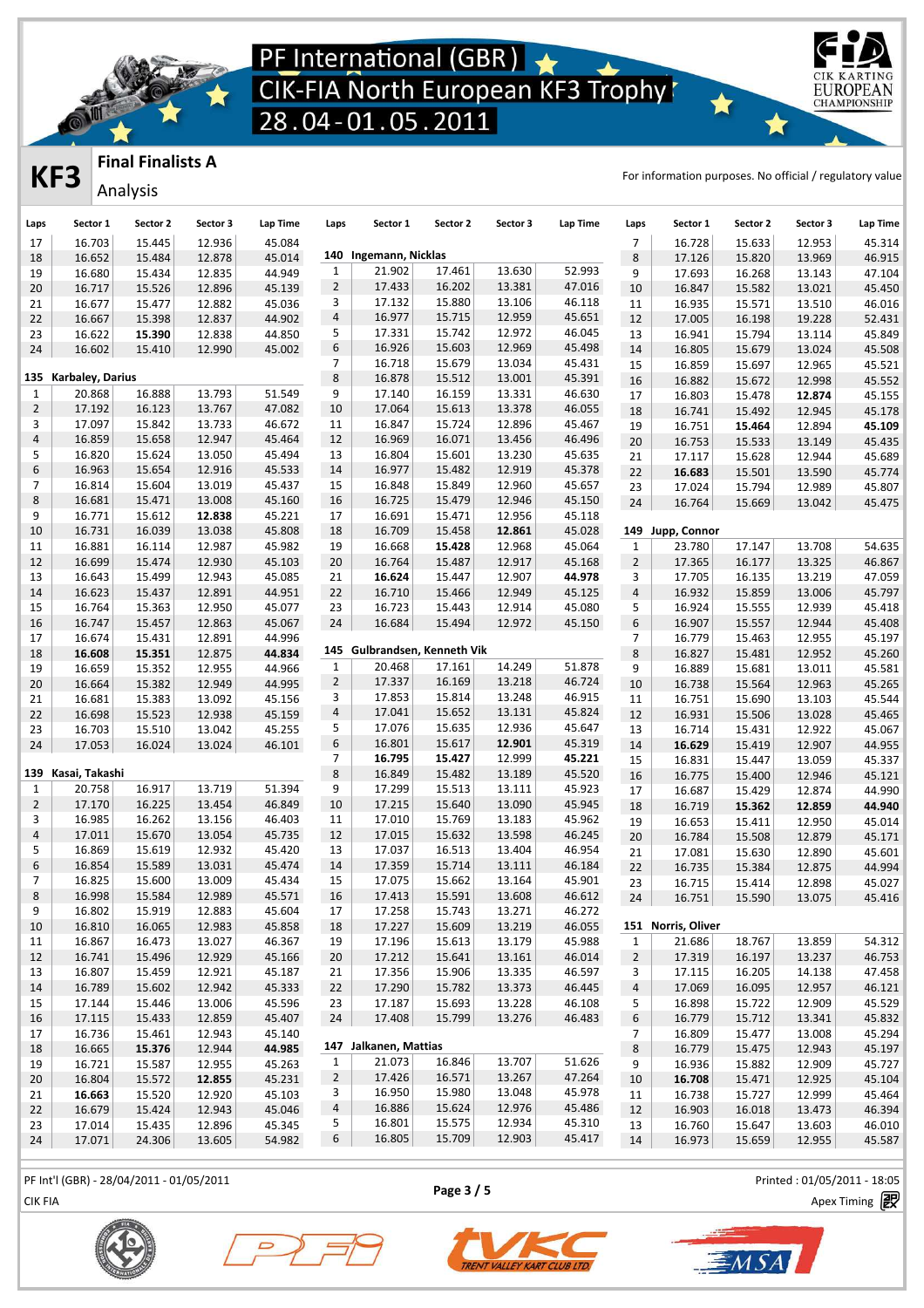

### **KF3 FINAL FINALISTS A**<br> **KF3 Anglusia**

EUROPEA **CHAMPIONSHIP** 

**Final Finalists A**

Analysis

| Laps                    | Sector 1             | Sector 2         | Sector 3         | Lap Time         | Laps           | Sector 1                     | Sector 2         | Sector 3         | Lap Time         | Laps             | Sector 1           | Sector 2 | Sector 3 | Lap Time         |
|-------------------------|----------------------|------------------|------------------|------------------|----------------|------------------------------|------------------|------------------|------------------|------------------|--------------------|----------|----------|------------------|
| 17                      | 16.703               | 15.445           | 12.936           | 45.084           |                |                              |                  |                  |                  | $\overline{7}$   | 16.728             | 15.633   | 12.953   | 45.314           |
| 18                      | 16.652               | 15.484           | 12.878           | 45.014           |                | 140 Ingemann, Nicklas        |                  |                  |                  | 8                | 17.126             | 15.820   | 13.969   | 46.915           |
| 19                      | 16.680               | 15.434           | 12.835           | 44.949           | $\mathbf{1}$   | 21.902                       | 17.461           | 13.630           | 52.993           | 9                | 17.693             | 16.268   | 13.143   | 47.104           |
| 20                      | 16.717               | 15.526           | 12.896           | 45.139           | $\overline{2}$ | 17.433                       | 16.202           | 13.381           | 47.016           | 10               | 16.847             | 15.582   | 13.021   | 45.450           |
| 21                      | 16.677               | 15.477           | 12.882           | 45.036           | 3              | 17.132                       | 15.880           | 13.106           | 46.118           | 11               | 16.935             | 15.571   | 13.510   | 46.016           |
| 22                      | 16.667               | 15.398           | 12.837           | 44.902           | 4              | 16.977                       | 15.715           | 12.959           | 45.651           | 12               | 17.005             | 16.198   | 19.228   | 52.431           |
| 23                      | 16.622               | 15.390           | 12.838           | 44.850           | 5              | 17.331                       | 15.742           | 12.972           | 46.045           | 13               | 16.941             | 15.794   | 13.114   | 45.849           |
| 24                      | 16.602               | 15.410           | 12.990           | 45.002           | 6              | 16.926                       | 15.603           | 12.969           | 45.498           | $14\,$           | 16.805             | 15.679   | 13.024   | 45.508           |
|                         |                      |                  |                  |                  | 7              | 16.718                       | 15.679           | 13.034           | 45.431           | 15               | 16.859             | 15.697   | 12.965   | 45.521           |
|                         | 135 Karbaley, Darius |                  |                  |                  | 8              | 16.878                       | 15.512           | 13.001           | 45.391           | 16               | 16.882             | 15.672   | 12.998   | 45.552           |
| $\mathbf{1}$            | 20.868               | 16.888           | 13.793           | 51.549           | 9              | 17.140                       | 16.159           | 13.331           | 46.630           | 17               | 16.803             | 15.478   | 12.874   | 45.155           |
| $\overline{2}$          | 17.192               | 16.123           | 13.767           | 47.082           | 10             | 17.064                       | 15.613           | 13.378           | 46.055           | 18               | 16.741             | 15.492   | 12.945   | 45.178           |
| 3                       | 17.097               | 15.842           | 13.733           | 46.672           | 11             | 16.847                       | 15.724           | 12.896           | 45.467           | 19               | 16.751             | 15.464   | 12.894   | 45.109           |
| $\overline{\mathbf{4}}$ | 16.859               | 15.658           | 12.947           | 45.464           | 12             | 16.969                       | 16.071           | 13.456           | 46.496           | 20               | 16.753             | 15.533   | 13.149   | 45.435           |
| 5<br>6                  | 16.820<br>16.963     | 15.624<br>15.654 | 13.050<br>12.916 | 45.494<br>45.533 | 13<br>14       | 16.804<br>16.977             | 15.601<br>15.482 | 13.230<br>12.919 | 45.635<br>45.378 | 21               | 17.117             | 15.628   | 12.944   | 45.689           |
| 7                       | 16.814               | 15.604           | 13.019           | 45.437           | 15             | 16.848                       | 15.849           | 12.960           | 45.657           | 22               | 16.683             | 15.501   | 13.590   | 45.774           |
| 8                       | 16.681               | 15.471           | 13.008           | 45.160           | 16             | 16.725                       | 15.479           | 12.946           | 45.150           | 23               | 17.024             | 15.794   | 12.989   | 45.807           |
| 9                       | 16.771               | 15.612           | 12.838           | 45.221           | 17             | 16.691                       | 15.471           | 12.956           | 45.118           | 24               | 16.764             | 15.669   | 13.042   | 45.475           |
| 10                      | 16.731               | 16.039           | 13.038           | 45.808           | 18             | 16.709                       | 15.458           | 12.861           | 45.028           |                  | 149 Jupp, Connor   |          |          |                  |
| 11                      | 16.881               | 16.114           | 12.987           | 45.982           | 19             | 16.668                       | 15.428           | 12.968           | 45.064           | $\mathbf{1}$     | 23.780             | 17.147   | 13.708   | 54.635           |
| 12                      | 16.699               | 15.474           | 12.930           | 45.103           | 20             | 16.764                       | 15.487           | 12.917           | 45.168           | $\overline{2}$   | 17.365             | 16.177   | 13.325   | 46.867           |
| 13                      | 16.643               | 15.499           | 12.943           | 45.085           | 21             | 16.624                       | 15.447           | 12.907           | 44.978           | 3                | 17.705             | 16.135   | 13.219   | 47.059           |
| 14                      | 16.623               | 15.437           | 12.891           | 44.951           | 22             | 16.710                       | 15.466           | 12.949           | 45.125           | $\overline{a}$   | 16.932             | 15.859   | 13.006   | 45.797           |
| 15                      | 16.764               | 15.363           | 12.950           | 45.077           | 23             | 16.723                       | 15.443           | 12.914           | 45.080           | 5                | 16.924             | 15.555   | 12.939   | 45.418           |
| 16                      | 16.747               | 15.457           | 12.863           | 45.067           | 24             | 16.684                       | 15.494           | 12.972           | 45.150           | $\boldsymbol{6}$ | 16.907             | 15.557   | 12.944   | 45.408           |
| 17                      | 16.674               | 15.431           | 12.891           | 44.996           |                |                              |                  |                  |                  | $\overline{7}$   | 16.779             | 15.463   | 12.955   | 45.197           |
| 18                      | 16.608               | 15.351           | 12.875           | 44.834           |                | 145 Gulbrandsen, Kenneth Vik |                  |                  |                  | 8                | 16.827             | 15.481   | 12.952   | 45.260           |
| 19                      | 16.659               | 15.352           | 12.955           | 44.966           | $\mathbf{1}$   | 20.468                       | 17.161           | 14.249           | 51.878           | 9                | 16.889             | 15.681   | 13.011   | 45.581           |
| 20                      | 16.664               | 15.382           | 12.949           | 44.995           | $\overline{2}$ | 17.337                       | 16.169           | 13.218           | 46.724           | $10\,$           | 16.738             | 15.564   | 12.963   | 45.265           |
| 21                      | 16.681               | 15.383           | 13.092           | 45.156           | 3              | 17.853                       | 15.814           | 13.248           | 46.915           | 11               | 16.751             | 15.690   | 13.103   | 45.544           |
| 22                      | 16.698               | 15.523           | 12.938           | 45.159           | $\overline{a}$ | 17.041                       | 15.652           | 13.131           | 45.824           | 12               | 16.931             | 15.506   | 13.028   | 45.465           |
| 23                      | 16.703               | 15.510           | 13.042           | 45.255           | 5              | 17.076                       | 15.635           | 12.936           | 45.647           | 13               | 16.714             | 15.431   | 12.922   | 45.067           |
| 24                      | 17.053               | 16.024           | 13.024           | 46.101           | 6              | 16.801                       | 15.617           | 12.901           | 45.319           | 14               | 16.629             | 15.419   | 12.907   | 44.955           |
|                         |                      |                  |                  |                  | $\overline{7}$ | 16.795                       | 15.427           | 12.999           | 45.221           | 15               | 16.831             | 15.447   | 13.059   | 45.337           |
|                         | 139 Kasai, Takashi   |                  |                  |                  | 8              | 16.849                       | 15.482           | 13.189           | 45.520           | 16               | 16.775             | 15.400   | 12.946   | 45.121           |
| $\mathbf{1}$            | 20.758               | 16.917           | 13.719           | 51.394           | 9              | 17.299                       | 15.513           | 13.111           | 45.923           | 17               | 16.687             | 15.429   | 12.874   | 44.990           |
| $\overline{2}$          | 17.170               | 16.225           | 13.454           | 46.849           | 10             | 17.215                       | 15.640           | 13.090           | 45.945           | 18               | 16.719             | 15.362   | 12.859   | 44.940           |
| 3                       | 16.985               | 16.262           | 13.156           | 46.403           | 11             | 17.010                       | 15.769           | 13.183           | 45.962           | 19               | 16.653             | 15.411   | 12.950   | 45.014           |
| $\overline{\mathbf{4}}$ | 17.011               | 15.670           | 13.054           | 45.735           | 12             | 17.015                       | 15.632           | 13.598           | 46.245           | 20               | 16.784             | 15.508   | 12.879   | 45.171           |
| 5<br>6                  | 16.869<br>16.854     | 15.619<br>15.589 | 12.932<br>13.031 | 45.420<br>45.474 | 13<br>14       | 17.037<br>17.359             | 16.513<br>15.714 | 13.404<br>13.111 | 46.954<br>46.184 | 21               | 17.081             | 15.630   | 12.890   | 45.601           |
| 7                       | 16.825               | 15.600           | 13.009           | 45.434           | 15             | 17.075                       | 15.662           | 13.164           | 45.901           | 22               | 16.735<br>16.715   | 15.384   | 12.875   | 44.994           |
| 8                       | 16.998               | 15.584           | 12.989           | 45.571           | 16             | 17.413                       | 15.591           | 13.608           | 46.612           | 23               |                    | 15.414   | 12.898   | 45.027<br>45.416 |
| 9                       | 16.802               | 15.919           | 12.883           | 45.604           | 17             | 17.258                       | 15.743           | 13.271           | 46.272           | 24               | 16.751             | 15.590   | 13.075   |                  |
| 10                      | 16.810               | 16.065           | 12.983           | 45.858           | 18             | 17.227                       | 15.609           | 13.219           | 46.055           |                  | 151 Norris, Oliver |          |          |                  |
| 11                      | 16.867               | 16.473           | 13.027           | 46.367           | 19             | 17.196                       | 15.613           | 13.179           | 45.988           | $\mathbf{1}$     | 21.686             | 18.767   | 13.859   | 54.312           |
| 12                      | 16.741               | 15.496           | 12.929           | 45.166           | 20             | 17.212                       | 15.641           | 13.161           | 46.014           | $\overline{2}$   | 17.319             | 16.197   | 13.237   | 46.753           |
| 13                      | 16.807               | 15.459           | 12.921           | 45.187           | 21             | 17.356                       | 15.906           | 13.335           | 46.597           | 3                | 17.115             | 16.205   | 14.138   | 47.458           |
| 14                      | 16.789               | 15.602           | 12.942           | 45.333           | 22             | 17.290                       | 15.782           | 13.373           | 46.445           | $\overline{4}$   | 17.069             | 16.095   | 12.957   | 46.121           |
| 15                      | 17.144               | 15.446           | 13.006           | 45.596           | 23             | 17.187                       | 15.693           | 13.228           | 46.108           | 5                | 16.898             | 15.722   | 12.909   | 45.529           |
| 16                      | 17.115               | 15.433           | 12.859           | 45.407           | 24             | 17.408                       | 15.799           | 13.276           | 46.483           | 6                | 16.779             | 15.712   | 13.341   | 45.832           |
| 17                      | 16.736               | 15.461           | 12.943           | 45.140           |                |                              |                  |                  |                  | 7                | 16.809             | 15.477   | 13.008   | 45.294           |
| 18                      | 16.665               | 15.376           | 12.944           | 44.985           |                | 147 Jalkanen, Mattias        |                  |                  |                  | 8                | 16.779             | 15.475   | 12.943   | 45.197           |
| 19                      | 16.721               | 15.587           | 12.955           | 45.263           | $\mathbf{1}$   | 21.073                       | 16.846           | 13.707           | 51.626           | 9                | 16.936             | 15.882   | 12.909   | 45.727           |
| 20                      | 16.804               | 15.572           | 12.855           | 45.231           | $\overline{2}$ | 17.426                       | 16.571           | 13.267           | 47.264           | 10               | 16.708             | 15.471   | 12.925   | 45.104           |
| 21                      | 16.663               | 15.520           | 12.920           | 45.103           | 3              | 16.950                       | 15.980           | 13.048           | 45.978           | 11               | 16.738             | 15.727   | 12.999   | 45.464           |
| 22                      | 16.679               | 15.424           | 12.943           | 45.046           | 4              | 16.886                       | 15.624           | 12.976           | 45.486           | 12               | 16.903             | 16.018   | 13.473   | 46.394           |
| 23                      | 17.014               | 15.435           | 12.896           | 45.345           | 5              | 16.801                       | 15.575           | 12.934           | 45.310           | 13               | 16.760             | 15.647   | 13.603   | 46.010           |
| 24                      | 17.071               | 24.306           | 13.605           | 54.982           | 6              | 16.805                       | 15.709           | 12.903           | 45.417           | 14               | 16.973             | 15.659   | 12.955   | 45.587           |
|                         |                      |                  |                  |                  |                |                              |                  |                  |                  |                  |                    |          |          |                  |

PF Int'l (GBR) - 28/04/2011 - 01/05/2011 Printed : 01/05/2011 - 18:05

**Page 3 / 5**

CIK FIA Apex Timing





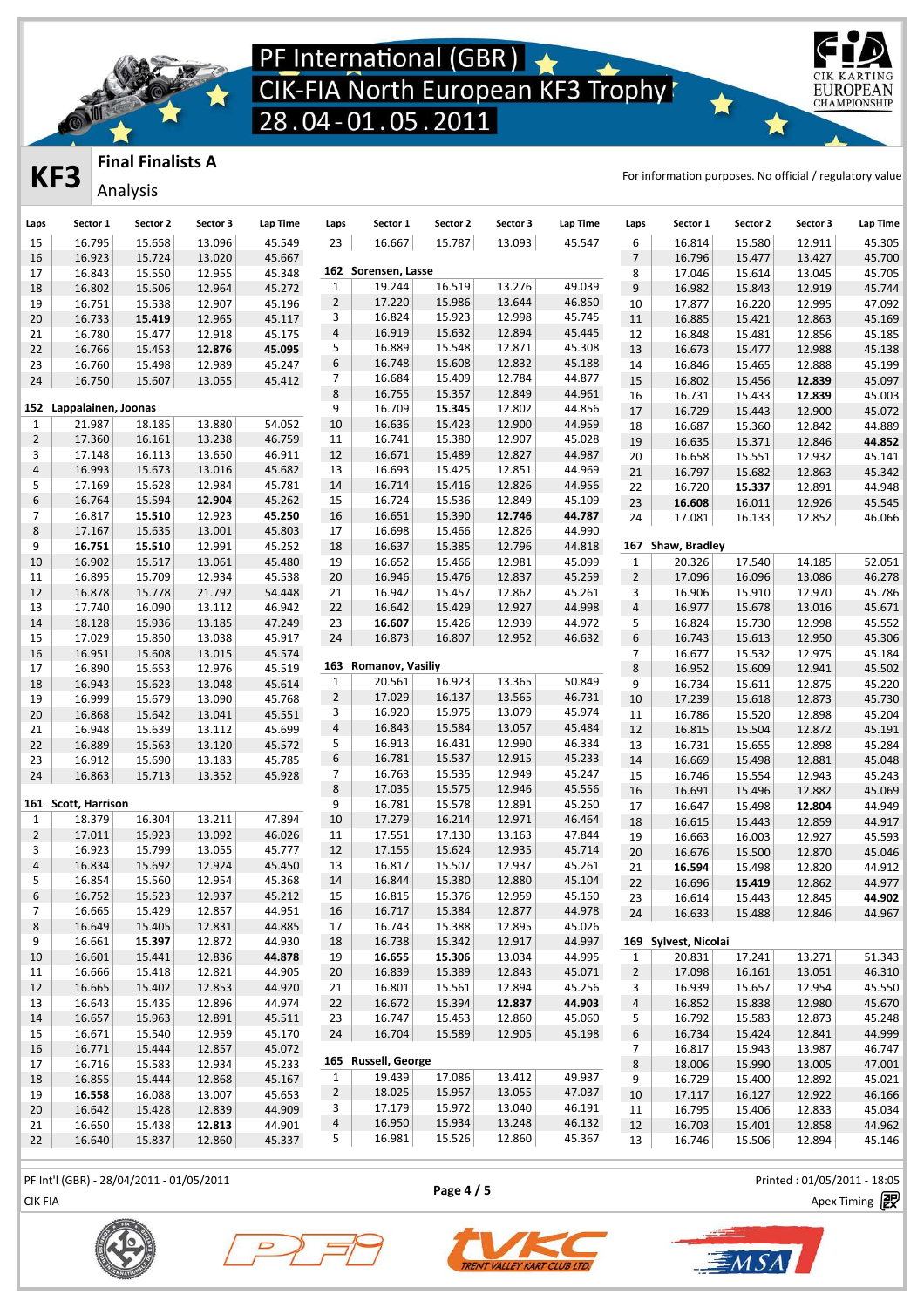

### **Final Finalists A**

Analysis

**KF3** FINAL FINALISTS A<br> **KF3** Anglesia

EUROPEA **CHAMPIONSHIP** 

| Laps                         | Sector 1                | Sector 2         | Sector 3         | Lap Time         | Laps           | Sector 1             | Sector 2         | Sector 3         | Lap Time         | Laps                           | Sector 1             | Sector 2         | Sector 3         | Lap Time         |
|------------------------------|-------------------------|------------------|------------------|------------------|----------------|----------------------|------------------|------------------|------------------|--------------------------------|----------------------|------------------|------------------|------------------|
| 15                           | 16.795                  | 15.658           | 13.096           | 45.549           | 23             | 16.667               | 15.787           | 13.093           | 45.547           | 6                              | 16.814               | 15.580           | 12.911           | 45.305           |
| 16                           | 16.923                  | 15.724           | 13.020           | 45.667           |                |                      |                  |                  |                  | $\overline{7}$                 | 16.796               | 15.477           | 13.427           | 45.700           |
| 17                           | 16.843                  | 15.550           | 12.955           | 45.348           |                | 162 Sorensen, Lasse  |                  |                  |                  | 8                              | 17.046               | 15.614           | 13.045           | 45.705           |
| 18                           | 16.802                  | 15.506           | 12.964           | 45.272           | $\mathbf{1}$   | 19.244               | 16.519           | 13.276           | 49.039           | $\overline{9}$                 | 16.982               | 15.843           | 12.919           | 45.744           |
| 19                           | 16.751                  | 15.538           | 12.907           | 45.196           | $\overline{2}$ | 17.220               | 15.986           | 13.644           | 46.850           | 10                             | 17.877               | 16.220           | 12.995           | 47.092           |
| 20                           | 16.733                  | 15.419           | 12.965           | 45.117           | 3              | 16.824               | 15.923           | 12.998           | 45.745           | 11                             | 16.885               | 15.421           | 12.863           | 45.169           |
| 21                           | 16.780                  | 15.477           | 12.918           | 45.175           | 4              | 16.919               | 15.632           | 12.894           | 45.445           | 12                             | 16.848               | 15.481           | 12.856           | 45.185           |
| 22                           | 16.766                  | 15.453           | 12.876           | 45.095           | 5              | 16.889               | 15.548           | 12.871           | 45.308           | 13                             | 16.673               | 15.477           | 12.988           | 45.138           |
| 23                           | 16.760                  | 15.498           | 12.989           | 45.247           | 6              | 16.748               | 15.608           | 12.832           | 45.188           | 14                             | 16.846               | 15.465           | 12.888           | 45.199           |
| 24                           | 16.750                  | 15.607           | 13.055           | 45.412           | 7              | 16.684               | 15.409           | 12.784           | 44.877           | 15                             | 16.802               | 15.456           | 12.839           | 45.097           |
|                              |                         |                  |                  |                  | 8              | 16.755               | 15.357           | 12.849           | 44.961           | 16                             | 16.731               | 15.433           | 12.839           | 45.003           |
|                              | 152 Lappalainen, Joonas |                  |                  |                  | 9              | 16.709               | 15.345           | 12.802           | 44.856           | 17                             | 16.729               | 15.443           | 12.900           | 45.072           |
| $\mathbf{1}$                 | 21.987                  | 18.185           | 13.880           | 54.052           | 10             | 16.636               | 15.423           | 12.900           | 44.959           | 18                             | 16.687               | 15.360           | 12.842           | 44.889           |
| $\overline{2}$               | 17.360                  | 16.161           | 13.238           | 46.759           | 11             | 16.741<br>16.671     | 15.380           | 12.907           | 45.028           | 19                             | 16.635               | 15.371           | 12.846           | 44.852           |
| 3<br>$\overline{\mathbf{4}}$ | 17.148<br>16.993        | 16.113<br>15.673 | 13.650<br>13.016 | 46.911<br>45.682 | 12<br>13       | 16.693               | 15.489<br>15.425 | 12.827<br>12.851 | 44.987<br>44.969 | 20                             | 16.658               | 15.551           | 12.932           | 45.141           |
|                              |                         |                  | 12.984           |                  |                | 16.714               |                  |                  |                  | 21                             | 16.797               | 15.682           | 12.863           | 45.342           |
| 5<br>6                       | 17.169<br>16.764        | 15.628           |                  | 45.781           | 14             |                      | 15.416           | 12.826           | 44.956           | 22                             | 16.720               | 15.337           | 12.891           | 44.948           |
|                              |                         | 15.594           | 12.904           | 45.262           | 15             | 16.724               | 15.536           | 12.849           | 45.109           | 23                             | 16.608               | 16.011           | 12.926           | 45.545           |
| 7                            | 16.817                  | 15.510           | 12.923           | 45.250           | 16             | 16.651               | 15.390           | 12.746           | 44.787           | 24                             | 17.081               | 16.133           | 12.852           | 46.066           |
| 8                            | 17.167                  | 15.635           | 13.001           | 45.803           | 17             | 16.698               | 15.466           | 12.826           | 44.990           |                                |                      |                  |                  |                  |
| 9                            | 16.751                  | 15.510           | 12.991           | 45.252           | 18             | 16.637               | 15.385           | 12.796           | 44.818           | 167                            | Shaw, Bradley        |                  |                  |                  |
| 10                           | 16.902                  | 15.517           | 13.061           | 45.480           | 19             | 16.652               | 15.466           | 12.981           | 45.099           | $\mathbf{1}$                   | 20.326               | 17.540           | 14.185           | 52.051           |
| 11                           | 16.895                  | 15.709           | 12.934           | 45.538           | 20             | 16.946               | 15.476           | 12.837           | 45.259           | $\overline{2}$                 | 17.096               | 16.096           | 13.086           | 46.278           |
| 12                           | 16.878                  | 15.778           | 21.792           | 54.448           | 21             | 16.942               | 15.457           | 12.862           | 45.261           | 3                              | 16.906               | 15.910           | 12.970           | 45.786           |
| 13                           | 17.740                  | 16.090           | 13.112           | 46.942           | 22             | 16.642               | 15.429           | 12.927           | 44.998           | $\overline{a}$                 | 16.977               | 15.678           | 13.016           | 45.671           |
| 14                           | 18.128                  | 15.936           | 13.185           | 47.249           | 23             | 16.607               | 15.426           | 12.939           | 44.972           | 5                              | 16.824               | 15.730           | 12.998           | 45.552           |
| 15                           | 17.029                  | 15.850           | 13.038           | 45.917           | 24             | 16.873               | 16.807           | 12.952           | 46.632           | $\,$ 6 $\,$                    | 16.743               | 15.613           | 12.950           | 45.306           |
| 16                           | 16.951                  | 15.608           | 13.015           | 45.574           |                | 163 Romanov, Vasiliy |                  |                  |                  | 7                              | 16.677               | 15.532           | 12.975           | 45.184           |
| 17                           | 16.890                  | 15.653           | 12.976           | 45.519           |                |                      |                  |                  | 50.849           | $\,8\,$                        | 16.952               | 15.609           | 12.941           | 45.502           |
| 18                           | 16.943                  | 15.623           | 13.048           | 45.614           | $\mathbf{1}$   | 20.561               | 16.923           | 13.365           |                  | 9                              | 16.734               | 15.611           | 12.875           | 45.220           |
| 19                           | 16.999                  | 15.679           | 13.090           | 45.768           | $\overline{2}$ | 17.029               | 16.137           | 13.565           | 46.731           | 10                             | 17.239               | 15.618           | 12.873           | 45.730           |
| 20                           | 16.868                  | 15.642           | 13.041           | 45.551           | 3              | 16.920               | 15.975           | 13.079           | 45.974           | 11                             | 16.786               | 15.520           | 12.898           | 45.204           |
| 21                           | 16.948                  | 15.639           | 13.112           | 45.699           | 4              | 16.843               | 15.584           | 13.057           | 45.484           | 12                             | 16.815               | 15.504           | 12.872           | 45.191           |
| 22                           | 16.889                  | 15.563           | 13.120           | 45.572           | 5              | 16.913               | 16.431           | 12.990           | 46.334           | 13                             | 16.731               | 15.655           | 12.898           | 45.284           |
| 23                           | 16.912                  | 15.690           | 13.183           | 45.785           | 6              | 16.781               | 15.537           | 12.915           | 45.233           | 14                             | 16.669               | 15.498           | 12.881           | 45.048           |
| 24                           | 16.863                  | 15.713           | 13.352           | 45.928           | $\overline{7}$ | 16.763<br>17.035     | 15.535           | 12.949           | 45.247           | 15                             | 16.746               | 15.554           | 12.943           | 45.243           |
|                              | 161 Scott, Harrison     |                  |                  |                  | 8<br>9         |                      | 15.575           | 12.946           | 45.556           | 16                             | 16.691               | 15.496           | 12.882           | 45.069           |
|                              |                         |                  |                  |                  | 10             | 16.781<br>17.279     | 15.578           | 12.891           | 45.250           | 17                             | 16.647               | 15.498           | 12.804           | 44.949           |
| $\mathbf{1}$                 | 18.379<br>17.011        | 16.304<br>15.923 | 13.211<br>13.092 | 47.894           |                | 17.551               | 16.214           | 12.971           | 46.464<br>47.844 | 18                             | 16.615               | 15.443           | 12.859           | 44.917           |
| $\overline{2}$               |                         |                  |                  | 46.026           | 11             |                      | 17.130           | 13.163           |                  | 19                             | 16.663               | 16.003           | 12.927           | 45.593           |
| 3<br>$\overline{4}$          | 16.923<br>16.834        | 15.799<br>15.692 | 13.055<br>12.924 | 45.777<br>45.450 | 12<br>13       | 17.155<br>16.817     | 15.624<br>15.507 | 12.935<br>12.937 | 45.714<br>45.261 | 20                             | 16.676               | 15.500           | 12.870           | 45.046           |
| 5                            | 16.854                  | 15.560           | 12.954           | 45.368           | 14             | 16.844               | 15.380           | 12.880           | 45.104           | 21                             | 16.594               | 15.498           | 12.820           | 44.912           |
| 6                            | 16.752                  | 15.523           | 12.937           | 45.212           | 15             | 16.815               | 15.376           | 12.959           | 45.150           | 22                             | 16.696               | 15.419           | 12.862           | 44.977           |
| $\overline{7}$               | 16.665                  | 15.429           | 12.857           | 44.951           |                |                      | 15.384           | 12.877           | 44.978           | 23                             | 16.614               | 15.443           | 12.845           | 44.902           |
| 8                            | 16.649                  | 15.405           | 12.831           | 44.885           | 16<br>17       | 16.717<br>16.743     | 15.388           | 12.895           | 45.026           | 24                             | 16.633               | 15.488           | 12.846           | 44.967           |
| 9                            | 16.661                  | 15.397           | 12.872           | 44.930           |                | 16.738               | 15.342           | 12.917           | 44.997           |                                | 169 Sylvest, Nicolai |                  |                  |                  |
|                              |                         |                  |                  |                  | 18             |                      |                  |                  |                  |                                |                      |                  |                  |                  |
| 10                           | 16.601<br>16.666        | 15.441<br>15.418 | 12.836<br>12.821 | 44.878<br>44.905 | 19             | 16.655<br>16.839     | 15.306<br>15.389 | 13.034<br>12.843 | 44.995<br>45.071 | $\mathbf{1}$<br>$\overline{2}$ | 20.831<br>17.098     | 17.241<br>16.161 | 13.271<br>13.051 | 51.343<br>46.310 |
| 11                           | 16.665                  | 15.402           | 12.853           | 44.920           | 20             | 16.801               | 15.561           | 12.894           | 45.256           |                                | 16.939               | 15.657           | 12.954           | 45.550           |
| 12                           |                         |                  |                  |                  | 21             |                      |                  |                  | 44.903           | 3                              |                      |                  |                  |                  |
| 13                           | 16.643                  | 15.435           | 12.896           | 44.974           | 22             | 16.672               | 15.394           | 12.837           |                  | $\overline{4}$                 | 16.852               | 15.838           | 12.980           | 45.670           |
| 14                           | 16.657                  | 15.963           | 12.891           | 45.511           | 23             | 16.747<br>16.704     | 15.453           | 12.860           | 45.060           | 5                              | 16.792               | 15.583           | 12.873<br>12.841 | 45.248           |
| 15                           | 16.671                  | 15.540           | 12.959           | 45.170           | 24             |                      | 15.589           | 12.905           | 45.198           | 6                              | 16.734               | 15.424           |                  | 44.999           |
| 16                           | 16.771                  | 15.444           | 12.857           | 45.072           |                | 165 Russell, George  |                  |                  |                  | $7\overline{ }$                | 16.817               | 15.943           | 13.987           | 46.747           |
| 17                           | 16.716                  | 15.583           | 12.934           | 45.233           | $\mathbf{1}$   | 19.439               | 17.086           | 13.412           | 49.937           | 8                              | 18.006               | 15.990           | 13.005           | 47.001           |
| 18                           | 16.855                  | 15.444           | 12.868           | 45.167           | $\overline{2}$ | 18.025               | 15.957           | 13.055           | 47.037           | 9                              | 16.729               | 15.400           | 12.892           | 45.021           |
| 19                           | 16.558                  | 16.088           | 13.007           | 45.653           | 3              | 17.179               | 15.972           | 13.040           | 46.191           | 10                             | 17.117               | 16.127           | 12.922           | 46.166           |
| 20                           | 16.642<br>16.650        | 15.428<br>15.438 | 12.839<br>12.813 | 44.909<br>44.901 | 4              | 16.950               | 15.934           | 13.248           | 46.132           | 11                             | 16.795<br>16.703     | 15.406<br>15.401 | 12.833<br>12.858 | 45.034<br>44.962 |
| 21                           |                         |                  |                  |                  | 5              | 16.981               | 15.526           | 12.860           | 45.367           | 12                             |                      |                  |                  |                  |
| 22                           | 16.640                  | 15.837           | 12.860           | 45.337           |                |                      |                  |                  |                  | 13                             | 16.746               | 15.506           | 12.894           | 45.146           |

PF Int'l (GBR) - 28/04/2011 - 01/05/2011 Printed : 01/05/2011 - 18:05

**Page 4 / 5**







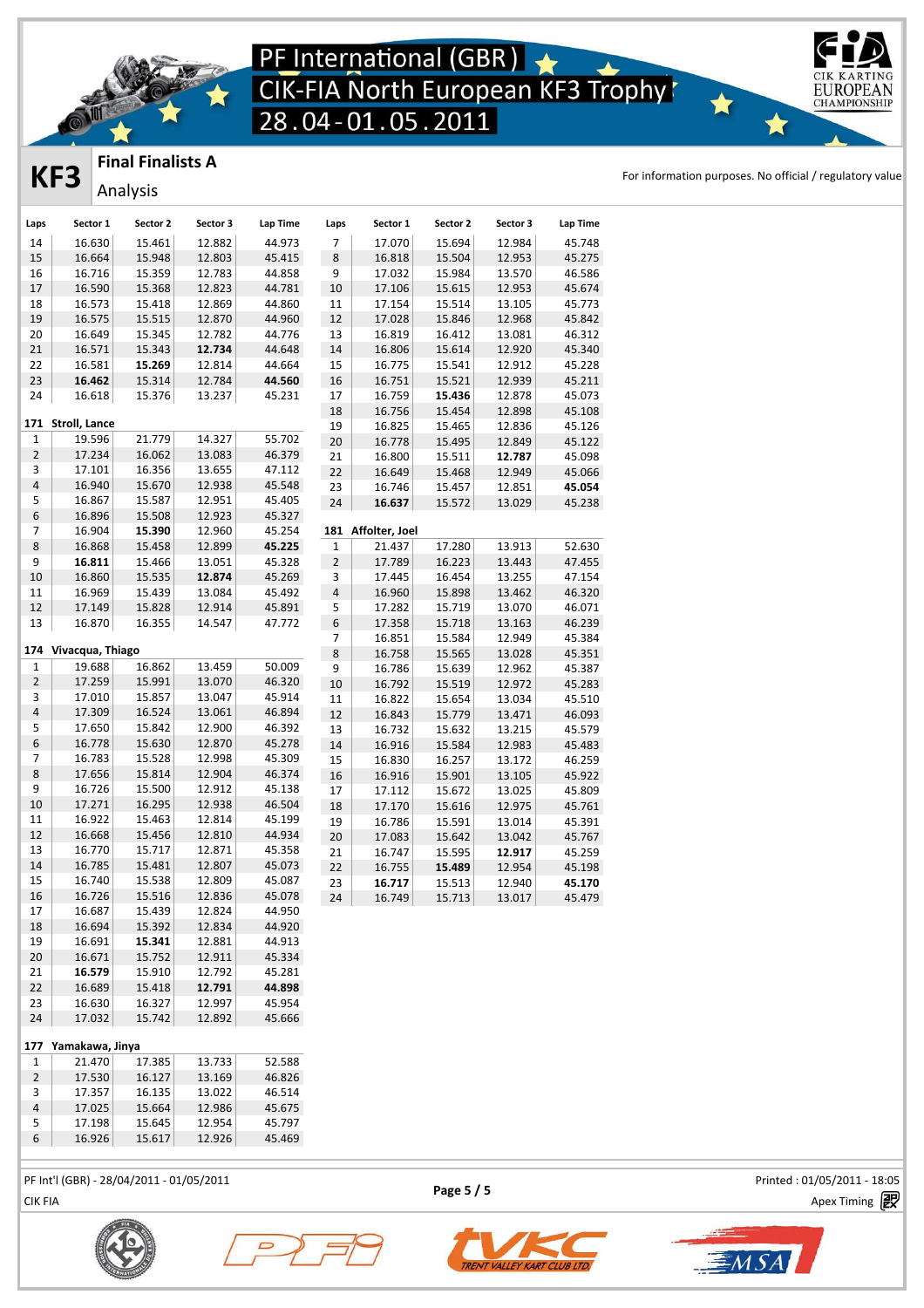

### **Final Finalists A**

Analysis

**KF3** FINAL FINALISTS A<br> **KF3** Anglesia

EUROPEAN **CHAMPIONSHIP** 

| Laps           | Sector 1             | Sector 2       | Sector 3 | Lap Time | Laps           | Sector 1       | Sector 2 | Sector 3 | Lap Time |
|----------------|----------------------|----------------|----------|----------|----------------|----------------|----------|----------|----------|
| 14             | 16.630               | 15.461         | 12.882   | 44.973   | 7              | 17.070         | 15.694   | 12.984   | 45.748   |
| 15             | 16.664               | 15.948         | 12.803   | 45.415   | 8              | 16.818         | 15.504   | 12.953   | 45.275   |
| 16             | 16.716               | 15.359         | 12.783   | 44.858   | 9              | 17.032         | 15.984   | 13.570   | 46.586   |
| 17             | 16.590               | 15.368         | 12.823   | 44.781   | 10             | 17.106         | 15.615   | 12.953   | 45.674   |
| 18             | 16.573               | 15.418         | 12.869   | 44.860   | $11\,$         | 17.154         | 15.514   | 13.105   | 45.773   |
| 19             | 16.575               | 15.515         | 12.870   | 44.960   | 12             | 17.028         | 15.846   | 12.968   | 45.842   |
| 20             | 16.649               | 15.345         | 12.782   | 44.776   | 13             | 16.819         | 16.412   | 13.081   | 46.312   |
| 21             | 16.571               | 15.343         | 12.734   | 44.648   | 14             | 16.806         | 15.614   | 12.920   | 45.340   |
| 22             | 16.581               | 15.269         | 12.814   | 44.664   | 15             | 16.775         | 15.541   | 12.912   | 45.228   |
| 23             | 16.462               | 15.314         | 12.784   | 44.560   | 16             | 16.751         | 15.521   | 12.939   | 45.211   |
| 24             | 16.618               | 15.376         | 13.237   | 45.231   | 17             | 16.759         | 15.436   | 12.878   | 45.073   |
|                |                      |                |          |          | 18             | 16.756         | 15.454   | 12.898   | 45.108   |
|                | 171 Stroll, Lance    |                |          |          | 19             | 16.825         | 15.465   | 12.836   | 45.126   |
| $1\,$          | 19.596               | 21.779         | 14.327   | 55.702   | 20             | 16.778         | 15.495   | 12.849   | 45.122   |
| $\mathbf 2$    | 17.234               | 16.062         | 13.083   | 46.379   | 21             | 16.800         | 15.511   | 12.787   | 45.098   |
| 3              | 17.101               | 16.356         | 13.655   | 47.112   | 22             | 16.649         | 15.468   | 12.949   | 45.066   |
| $\sqrt{4}$     | 16.940               | 15.670         | 12.938   | 45.548   | 23             | 16.746         | 15.457   | 12.851   | 45.054   |
| 5              | 16.867               | 15.587         | 12.951   | 45.405   | 24             | 16.637         | 15.572   | 13.029   | 45.238   |
| 6              | 16.896               | 15.508         | 12.923   | 45.327   |                |                |          |          |          |
| 7              | 16.904               | 15.390         | 12.960   | 45.254   | 181            | Affolter, Joel |          |          |          |
| $\bf 8$        | 16.868               | 15.458         | 12.899   | 45.225   | $\mathbf 1$    | 21.437         | 17.280   | 13.913   | 52.630   |
| 9              | 16.811               | 15.466         | 13.051   | 45.328   | $\overline{2}$ | 17.789         | 16.223   | 13.443   | 47.455   |
| 10             | 16.860               | 15.535         | 12.874   | 45.269   | 3              | 17.445         | 16.454   | 13.255   | 47.154   |
| 11             | 16.969               | 15.439         | 13.084   | 45.492   | $\sqrt{4}$     | 16.960         | 15.898   | 13.462   | 46.320   |
| 12             | 17.149               | 15.828         | 12.914   | 45.891   | 5              | 17.282         | 15.719   | 13.070   | 46.071   |
| 13             | 16.870               | 16.355         | 14.547   | 47.772   | $\,$ 6 $\,$    | 17.358         | 15.718   | 13.163   | 46.239   |
|                |                      |                |          |          | $\overline{7}$ | 16.851         | 15.584   | 12.949   | 45.384   |
|                | 174 Vivacqua, Thiago |                |          |          | $\,8\,$        | 16.758         | 15.565   | 13.028   | 45.351   |
| 1              | 19.688               | 16.862         | 13.459   | 50.009   | 9              | 16.786         | 15.639   | 12.962   | 45.387   |
| $\mathbf 2$    | 17.259               | 15.991         | 13.070   | 46.320   | 10             | 16.792         | 15.519   | 12.972   | 45.283   |
| 3              | 17.010               | 15.857         | 13.047   | 45.914   | 11             | 16.822         | 15.654   | 13.034   | 45.510   |
| $\pmb{4}$      | 17.309               | 16.524         | 13.061   | 46.894   | $12\,$         | 16.843         | 15.779   | 13.471   | 46.093   |
| 5              | 17.650               | 15.842         | 12.900   | 46.392   | 13             | 16.732         | 15.632   | 13.215   | 45.579   |
| $\,$ 6 $\,$    | 16.778               | 15.630         | 12.870   | 45.278   | 14             | 16.916         | 15.584   | 12.983   | 45.483   |
| $\overline{7}$ | 16.783               | 15.528         | 12.998   | 45.309   | 15             | 16.830         | 16.257   | 13.172   | 46.259   |
| 8              | 17.656               | 15.814         | 12.904   | 46.374   | 16             | 16.916         | 15.901   | 13.105   | 45.922   |
| 9              | 16.726               | 15.500         | 12.912   | 45.138   | 17             | 17.112         | 15.672   | 13.025   | 45.809   |
| 10             | 17.271               | 16.295         | 12.938   | 46.504   | 18             | 17.170         | 15.616   | 12.975   | 45.761   |
| 11             | 16.922               | 15.463         | 12.814   | 45.199   | 19             | 16.786         | 15.591   | 13.014   | 45.391   |
| 12             | 16.668               | 15.456         | 12.810   | 44.934   | 20             | 17.083         | 15.642   | 13.042   | 45.767   |
| 13             | 16.770               | 15.717         | 12.871   | 45.358   | 21             | 16.747         | 15.595   | 12.917   | 45.259   |
| 14             | 16.785               | 15.481         | 12.807   | 45.073   | 22             | 16.755         | 15.489   | 12.954   | 45.198   |
| 15             | 16.740               | 15.538         | 12.809   | 45.087   | 23             | 16.717         | 15.513   | 12.940   | 45.170   |
| 16             | 16.726               | 15.516         | 12.836   | 45.078   | ${\bf 24}$     | 16.749         | 15.713   | 13.017   | 45.479   |
| 17             | 16.687               | 15.439         | 12.824   | 44.950   |                |                |          |          |          |
| 18             | 16.694               | 15.392         | 12.834   | 44.920   |                |                |          |          |          |
| 19             | 16.691               | 15.341         | 12.881   | 44.913   |                |                |          |          |          |
| $20\,$         | 16.671               | 15.752         | 12.911   | 45.334   |                |                |          |          |          |
| 21             | 16.579               | 15.910         | 12.792   | 45.281   |                |                |          |          |          |
| 22             | 16.689               | 15.418         | 12.791   | 44.898   |                |                |          |          |          |
| 23             | 16.630               | 16.327         | 12.997   | 45.954   |                |                |          |          |          |
| 24             | 17.032               | 15.742         | 12.892   | 45.666   |                |                |          |          |          |
|                | 177 Yamakawa, Jinya  |                |          |          |                |                |          |          |          |
| $\mathbf{1}$   |                      | $21.470$ 17385 | 13733    | 52 588   |                |                |          |          |          |
|                |                      |                |          |          |                |                |          |          |          |

| ---           |        |        |        |        |
|---------------|--------|--------|--------|--------|
| 1             | 21.470 | 17.385 | 13.733 | 52.588 |
| $\mathcal{P}$ | 17.530 | 16.127 | 13.169 | 46.826 |
| 3             | 17.357 | 16.135 | 13.022 | 46.514 |
| 4             | 17.025 | 15.664 | 12.986 | 45.675 |
| 5             | 17.198 | 15.645 | 12.954 | 45.797 |

16.926 15.617 12.926 45.469

PF Int'l (GBR) - 28/04/2011 - 01/05/2011 Printed : 01/05/2011 - 18:05

**Page 5 / 5**